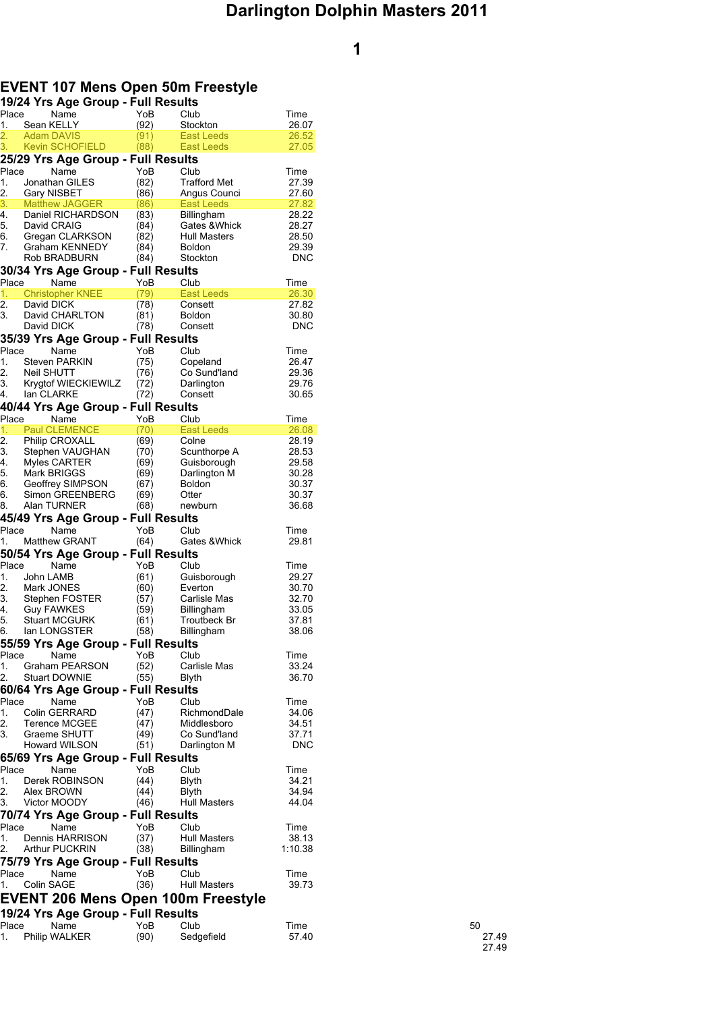# **EVENT 107 Mens Open 50m Freestyle**

| 19/24 Yrs Age Group - Full Results                   |              |                          |                |       |
|------------------------------------------------------|--------------|--------------------------|----------------|-------|
| Place<br>Name                                        | YoB          | Club                     | Time           |       |
| 1.<br>Sean KELLY<br>2.<br>Adam DAVIS                 | (92)         | Stockton                 | 26.07          |       |
| <b>Kevin SCHOFIELD</b><br>3.                         | (91)<br>(88) | East Leeds<br>East Leeds | 26.52<br>27.05 |       |
| 25/29 Yrs Age Group - Full Results                   |              |                          |                |       |
| Place<br>Name                                        | YoB          | Club                     | Time           |       |
| 1.<br>Jonathan GILES                                 | (82)         | <b>Trafford Met</b>      | 27.39          |       |
| 2.<br>Gary NISBET                                    | (86)         | Angus Counci             | 27.60          |       |
| 3.<br><b>Matthew JAGGER</b>                          | (86)         | East Leeds               | 27.82          |       |
| Daniel RICHARDSON<br>4.                              | (83)         | Billingham               | 28.22          |       |
| 5.<br>David CRAIG                                    | (84)         | Gates & Whick            | 28.27          |       |
| 6.<br>Gregan CLARKSON                                | (82)         | <b>Hull Masters</b>      | 28.50          |       |
| 7.<br>Graham KENNEDY                                 | (84)         | <b>Boldon</b>            | 29.39          |       |
| Rob BRADBURN                                         | (84)         | Stockton                 | <b>DNC</b>     |       |
| 30/34 Yrs Age Group - Full Results<br>Place<br>Name  | YoB          | Club                     | Time           |       |
| <b>Christopher KNEE</b><br>1.                        | (79)         | East Leeds               | 26.30          |       |
| 2.<br>David DICK                                     | (78)         | Consett                  | 27.82          |       |
| 3.<br>David CHARLTON                                 | (81)         | <b>Boldon</b>            | 30.80          |       |
| David DICK                                           | (78)         | Consett                  | <b>DNC</b>     |       |
| 35/39 Yrs Age Group - Full Results                   |              |                          |                |       |
| Place<br>Name                                        | YoB          | Club                     | Time           |       |
| <b>Steven PARKIN</b><br>1.                           | (75)         | Copeland                 | 26.47          |       |
| 2.<br><b>Neil SHUTT</b>                              | (76)         | Co Sund'land             | 29.36          |       |
| 3.<br>Krygtof WIECKIEWILZ                            | (72)         | Darlington               | 29.76          |       |
| 4.<br>lan CLARKE                                     | (72)         | Consett                  | 30.65          |       |
| 40/44 Yrs Age Group - Full Results                   |              |                          |                |       |
| Place<br>Name                                        | YoB          | Club                     | Time           |       |
| <b>Paul CLEMENCE</b><br>1.                           | (70)         | East Leeds               | 26.08<br>28.19 |       |
| 2.<br><b>Philip CROXALL</b><br>3.<br>Stephen VAUGHAN | (69)<br>(70) | Colne<br>Scunthorpe A    | 28.53          |       |
| Myles CARTER<br>4.                                   | (69)         | Guisborough              | 29.58          |       |
| Mark BRIGGS<br>5.                                    | (69)         | Darlington M             | 30.28          |       |
| Geoffrey SIMPSON<br>6.                               | (67)         | <b>Boldon</b>            | 30.37          |       |
| 6.<br>Simon GREENBERG                                | (69)         | Otter                    | 30.37          |       |
| Alan TURNER<br>8.                                    | (68)         | newburn                  | 36.68          |       |
| 45/49 Yrs Age Group - Full Results                   |              |                          |                |       |
| Place<br>Name                                        | YoB          | Club                     | Time           |       |
| <b>Matthew GRANT</b><br>1.                           | (64)         | Gates & Whick            | 29.81          |       |
| 50/54 Yrs Age Group - Full Results                   |              |                          |                |       |
| Place<br>Name                                        | YoB          | Club                     | Time           |       |
| 1.<br>John LAMB                                      | (61)         | Guisborough              | 29.27          |       |
| 2.<br>Mark JONES<br>3.<br>Stephen FOSTER             | (60)         | Everton<br>Carlisle Mas  | 30.70<br>32.70 |       |
| Guy FAWKES<br>4.                                     | (57)<br>(59) | Billingham               | 33.05          |       |
| 5.<br><b>Stuart MCGURK</b>                           | (61)         | Troutbeck Br             | 37.81          |       |
| 6.<br>lan LONGSTER                                   | (58)         | Billingham               | 38.06          |       |
| 55/59 Yrs Age Group - Full Results                   |              |                          |                |       |
| Place<br>Name                                        | YoB          | Club                     | Time           |       |
| 1.<br><b>Graham PEARSON</b>                          | (52)         | Carlisle Mas             | 33.24          |       |
| 2.<br><b>Stuart DOWNIE</b>                           | (55)         | Blyth                    | 36.70          |       |
| 60/64 Yrs Age Group - Full Results                   |              |                          |                |       |
| Place<br>Name                                        | YoB          | Club                     | Time           |       |
| 1.<br><b>Colin GERRARD</b>                           | (47)         | RichmondDale             | 34.06          |       |
| 2.<br><b>Terence MCGEE</b>                           | (47)         | Middlesboro              | 34.51          |       |
| 3.<br>Graeme SHUTT                                   | (49)         | Co Sund'land             | 37.71          |       |
| Howard WILSON                                        | (51)         | Darlington M             | <b>DNC</b>     |       |
| 65/69 Yrs Age Group - Full Results                   |              |                          |                |       |
| Place<br>Name                                        | YoB          | Club                     | Time           |       |
| Derek ROBINSON<br>1.<br>2.                           | (44)         | Blyth                    | 34.21<br>34.94 |       |
| Alex BROWN<br>3.<br>Victor MOODY                     | (44)<br>(46) | Blyth<br>Hull Masters    | 44.04          |       |
| 70/74 Yrs Age Group - Full Results                   |              |                          |                |       |
| Place<br>Name                                        | YoB          | Club                     | Time           |       |
| Dennis HARRISON<br>1.                                | (37)         | Hull Masters             | 38.13          |       |
| 2.<br><b>Arthur PUCKRIN</b>                          | (38)         | Billingham               | 1:10.38        |       |
| 75/79 Yrs Age Group - Full Results                   |              |                          |                |       |
| Place<br>Name                                        | YoB          | Club                     | Time           |       |
| Colin SAGE<br>1.                                     | (36)         | <b>Hull Masters</b>      | 39.73          |       |
| EVENT 206 Mens Open 100m Freestyle                   |              |                          |                |       |
| 19/24 Yrs Age Group - Full Results                   |              |                          |                |       |
| Place<br>Name                                        | YoB          | Club                     | Time           | 50    |
| Philip WALKER<br>1.                                  | (90)         | Sedgefield               | 57.40          | 27.49 |
|                                                      |              |                          |                |       |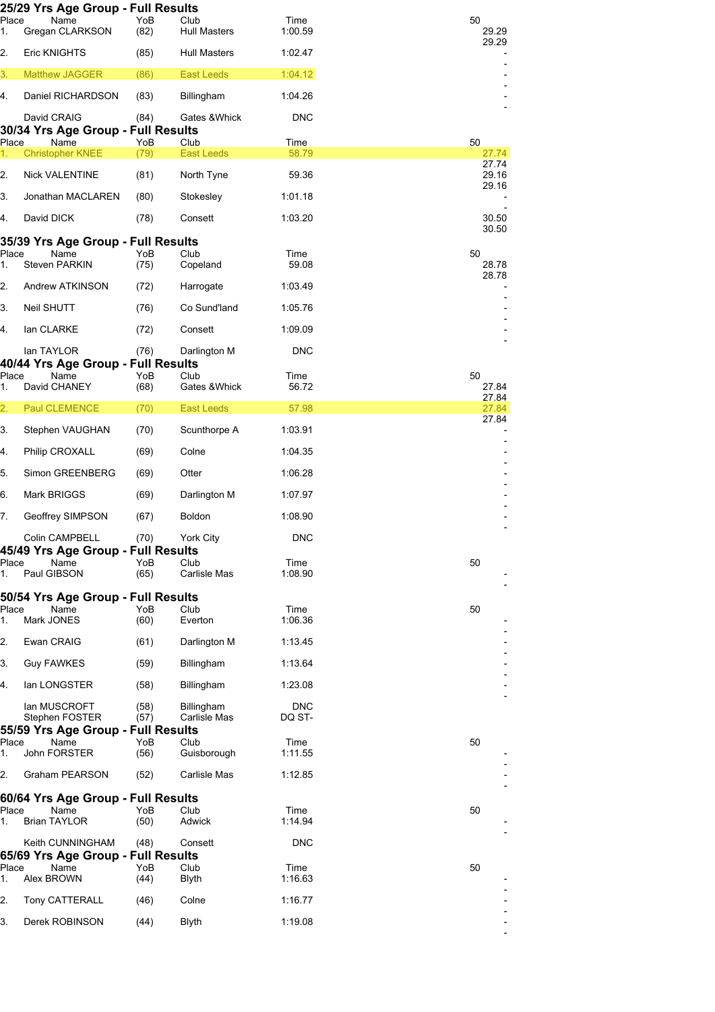|             | 25/29 Yrs Age Group - Full Results               |              |                             |                      |                          |
|-------------|--------------------------------------------------|--------------|-----------------------------|----------------------|--------------------------|
| Place<br>1. | Name<br>Gregan CLARKSON                          | YoB<br>(82)  | Club<br><b>Hull Masters</b> | Time<br>1:00.59      | 50<br>29.29              |
| 2.          | Eric KNIGHTS                                     | (85)         | <b>Hull Masters</b>         | 1:02.47              | 29.29                    |
| 3.          | <b>Matthew JAGGER</b>                            | (86)         | <b>East Leeds</b>           | 1:04.12              | $\overline{\phantom{a}}$ |
| 4.          | Daniel RICHARDSON                                | (83)         | Billingham                  | 1:04.26              |                          |
|             | David CRAIG                                      | (84)         | Gates & Whick               | DNC                  |                          |
|             | 30/34 Yrs Age Group - Full Results               |              |                             |                      |                          |
| Place<br>1. | Name<br><b>Christopher KNEE</b>                  | YoB<br>(79)  | Club<br><b>East Leeds</b>   | Time<br>58.79        | 50<br>27.74              |
| 2.          | Nick VALENTINE                                   | (81)         | North Tyne                  | 59.36                | 27.74<br>29.16           |
| 3.          | Jonathan MACLAREN                                | (80)         | Stokesley                   | 1:01.18              | 29.16                    |
| 4.          | David DICK                                       | (78)         | Consett                     | 1:03.20              | 30.50                    |
|             | 35/39 Yrs Age Group - Full Results               |              |                             |                      | 30.50                    |
| Place       | Name                                             | YoB          | Club                        | Time                 | 50                       |
| 1.          | <b>Steven PARKIN</b>                             | (75)         | Copeland                    | 59.08                | 28.78<br>28.78           |
| 2.          | Andrew ATKINSON                                  | (72)         | Harrogate                   | 1:03.49              |                          |
| 3.          | Neil SHUTT                                       | (76)         | Co Sund'land                | 1:05.76              |                          |
| 4.          | lan CLARKE                                       | (72)         | Consett                     | 1:09.09              |                          |
|             | lan TAYLOR<br>40/44 Yrs Age Group - Full Results | (76)         | Darlington M                | DNC                  |                          |
| Place<br>1. | Name<br>David CHANEY                             | YoB<br>(68)  | Club<br>Gates & Whick       | Time<br>56.72        | 50<br>27.84              |
| 2.          | <b>Paul CLEMENCE</b>                             | (70)         | <b>East Leeds</b>           | 57.98                | 27.84<br>27.84           |
| 3.          | Stephen VAUGHAN                                  | (70)         | Scunthorpe A                | 1:03.91              | 27.84                    |
| 4.          | Philip CROXALL                                   | (69)         | Colne                       | 1:04.35              |                          |
| 5.          | Simon GREENBERG                                  | (69)         | Otter                       | 1:06.28              |                          |
| 6.          | Mark BRIGGS                                      | (69)         | Darlington M                | 1:07.97              |                          |
| 7.          | Geoffrey SIMPSON                                 | (67)         | <b>Boldon</b>               | 1:08.90              |                          |
|             | Colin CAMPBELL                                   | (70)         | York City                   | <b>DNC</b>           |                          |
|             | 45/49 Yrs Age Group - Full Results               |              |                             |                      |                          |
| Place<br>1. | Name<br>Paul GIBSON                              | YoB<br>(65)  | Club<br>Carlisle Mas        | Time<br>1:08.90      | 50                       |
|             |                                                  |              |                             |                      |                          |
|             | 50/54 Yrs Age Group - Full Results               |              |                             |                      |                          |
| Place       | Name<br>Mark JONES                               | YoB          | Club                        | Time                 | 50                       |
| 1.          |                                                  | (60)         | Everton                     | 1:06.36              |                          |
| 2.          | Ewan CRAIG                                       | (61)         | Darlington M                | 1:13.45              |                          |
| 3.          | <b>Guy FAWKES</b>                                | (59)         | Billingham                  | 1:13.64              |                          |
| 4.          | lan LONGSTER                                     | (58)         | Billingham                  | 1:23.08              |                          |
|             | lan MUSCROFT<br>Stephen FOSTER                   | (58)<br>(57) | Billingham<br>Carlisle Mas  | <b>DNC</b><br>DQ ST- |                          |
|             | 55/59 Yrs Age Group - Full Results               |              |                             |                      |                          |
| Place       | Name                                             | YoB          | Club                        | Time                 | 50                       |
| 1.          | John FORSTER                                     | (56)         | Guisborough                 | 1:11.55              |                          |
| 2.          | Graham PEARSON                                   | (52)         | Carlisle Mas                | 1:12.85              |                          |
|             | 60/64 Yrs Age Group - Full Results               |              |                             |                      |                          |
| Place<br>1. | Name<br><b>Brian TAYLOR</b>                      | YoB<br>(50)  | Club<br>Adwick              | Time<br>1:14.94      | 50                       |
|             | Keith CUNNINGHAM                                 | (48)         | Consett                     | <b>DNC</b>           |                          |
|             | 65/69 Yrs Age Group - Full Results               |              |                             |                      |                          |
| Place<br>1. | Name<br>Alex BROWN                               | YoB<br>(44)  | Club<br><b>Blyth</b>        | Time<br>1:16.63      | 50                       |
| 2.          | Tony CATTERALL                                   | (46)         | Colne                       | 1:16.77              |                          |
| 3.          | Derek ROBINSON                                   | (44)         | <b>Blyth</b>                | 1:19.08              |                          |
|             |                                                  |              |                             |                      |                          |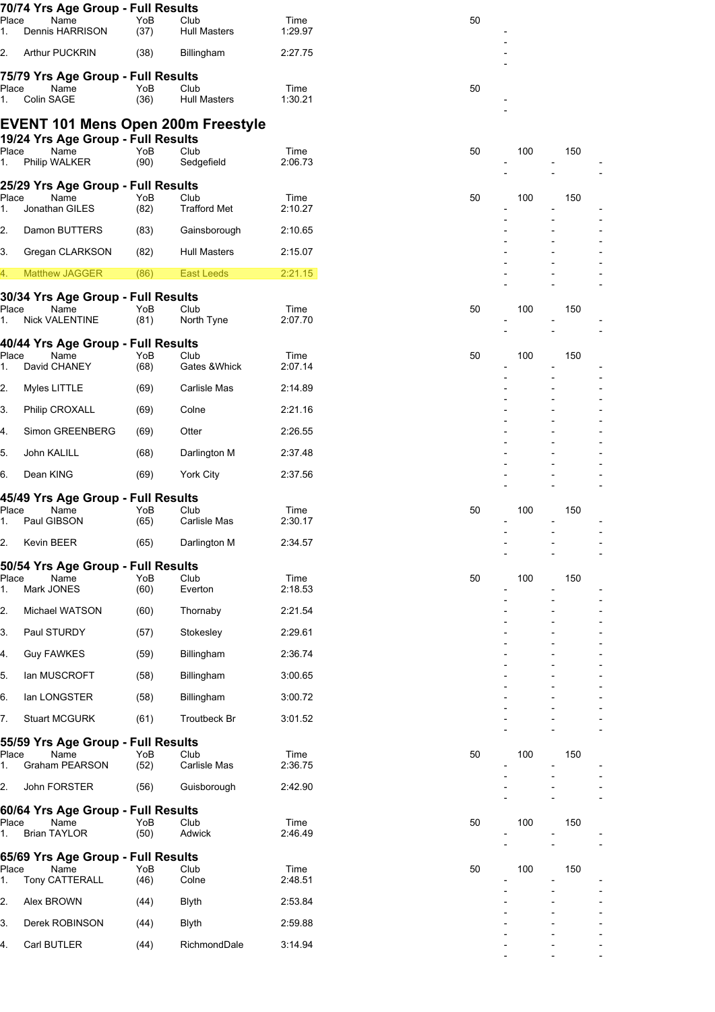|             | 70/74 Yrs Age Group - Full Results        |             |                             |                 |    |     |     |  |
|-------------|-------------------------------------------|-------------|-----------------------------|-----------------|----|-----|-----|--|
| Place<br>1. | Name<br>Dennis HARRISON                   | YoB<br>(37) | Club<br><b>Hull Masters</b> | Time<br>1:29.97 | 50 |     |     |  |
| 2.          | <b>Arthur PUCKRIN</b>                     | (38)        | Billingham                  | 2:27.75         |    |     |     |  |
|             | 75/79 Yrs Age Group - Full Results        |             |                             |                 |    |     |     |  |
| Place<br>1. | Name<br>Colin SAGE                        | YoB<br>(36) | Club<br><b>Hull Masters</b> | Time<br>1:30.21 | 50 |     |     |  |
|             | <b>EVENT 101 Mens Open 200m Freestyle</b> |             |                             |                 |    |     |     |  |
|             | 19/24 Yrs Age Group - Full Results        |             |                             |                 |    |     |     |  |
| Place<br>1. | Name<br>Philip WALKER                     | YoB<br>(90) | Club<br>Sedgefield          | Time<br>2:06.73 | 50 | 100 | 150 |  |
|             | 25/29 Yrs Age Group - Full Results        |             |                             |                 |    |     |     |  |
| Place<br>1. | Name<br>Jonathan GILES                    | YoB<br>(82) | Club<br><b>Trafford Met</b> | Time<br>2:10.27 | 50 | 100 | 150 |  |
| 2.          | Damon BUTTERS                             | (83)        | Gainsborough                | 2:10.65         |    |     |     |  |
| 3.          | Gregan CLARKSON                           | (82)        | <b>Hull Masters</b>         | 2:15.07         |    |     |     |  |
| 4.          | <b>Matthew JAGGER</b>                     | (86)        | <b>East Leeds</b>           | 2:21.15         |    |     |     |  |
|             | 30/34 Yrs Age Group - Full Results        |             |                             |                 |    |     |     |  |
| Place<br>1. | Name<br><b>Nick VALENTINE</b>             | YoB<br>(81) | Club<br>North Tyne          | Time<br>2:07.70 | 50 | 100 | 150 |  |
|             | 40/44 Yrs Age Group - Full Results        |             |                             |                 |    |     |     |  |
| Place<br>1. | Name<br>David CHANEY                      | YoB<br>(68) | Club<br>Gates & Whick       | Time<br>2:07.14 | 50 | 100 | 150 |  |
| 2.          | Myles LITTLE                              | (69)        | Carlisle Mas                | 2:14.89         |    |     |     |  |
| 3.          | Philip CROXALL                            | (69)        | Colne                       | 2:21.16         |    |     |     |  |
| 4.          | Simon GREENBERG                           | (69)        | Otter                       | 2:26.55         |    |     |     |  |
| 5.          | John KALILL                               | (68)        | Darlington M                | 2:37.48         |    |     |     |  |
| 6.          | Dean KING                                 | (69)        | York City                   | 2:37.56         |    |     |     |  |
|             | 45/49 Yrs Age Group - Full Results        |             |                             |                 |    |     |     |  |
| Place<br>1. | Name<br>Paul GIBSON                       | YoB<br>(65) | Club<br>Carlisle Mas        | Time<br>2:30.17 | 50 | 100 | 150 |  |
| 2.          | Kevin BEER                                | (65)        | Darlington M                | 2:34.57         |    |     |     |  |
|             | 50/54 Yrs Age Group - Full Results        |             |                             |                 |    |     |     |  |
| Place<br>1. | Name<br>Mark JONES                        | YoB<br>(60) | Club<br>Everton             | Time<br>2:18.53 | 50 | 100 | 150 |  |
| 2.          | Michael WATSON                            | (60)        | Thornaby                    | 2:21.54         |    |     |     |  |
| 3.          | Paul STURDY                               | (57)        | Stokesley                   | 2:29.61         |    |     |     |  |
| 4.          | <b>Guy FAWKES</b>                         | (59)        | Billingham                  | 2:36.74         |    |     |     |  |
| 5.          | lan MUSCROFT                              | (58)        | Billingham                  | 3:00.65         |    |     |     |  |
| 6.          | lan LONGSTER                              | (58)        | Billingham                  | 3:00.72         |    |     |     |  |
| 7.          | <b>Stuart MCGURK</b>                      | (61)        | Troutbeck Br                | 3:01.52         |    |     |     |  |
|             | 55/59 Yrs Age Group - Full Results        |             |                             |                 |    |     |     |  |
| Place<br>1. | Name<br>Graham PEARSON                    | YoB<br>(52) | Club<br>Carlisle Mas        | Time<br>2:36.75 | 50 | 100 | 150 |  |
| 2.          | John FORSTER                              | (56)        | Guisborough                 | 2:42.90         |    |     |     |  |
|             | 60/64 Yrs Age Group - Full Results        |             |                             |                 |    |     |     |  |
| Place<br>1. | Name<br><b>Brian TAYLOR</b>               | YoB<br>(50) | Club<br>Adwick              | Time<br>2:46.49 | 50 | 100 | 150 |  |
|             | 65/69 Yrs Age Group - Full Results        |             |                             |                 |    |     |     |  |
| Place<br>1. | Name<br>Tony CATTERALL                    | YoB<br>(46) | Club<br>Colne               | Time<br>2:48.51 | 50 | 100 | 150 |  |
| 2.          | Alex BROWN                                | (44)        | <b>Blyth</b>                | 2:53.84         |    |     |     |  |
| 3.          | Derek ROBINSON                            | (44)        | <b>Blyth</b>                | 2:59.88         |    |     |     |  |
| 4.          | Carl BUTLER                               | (44)        | RichmondDale                | 3:14.94         |    |     |     |  |
|             |                                           |             |                             |                 |    |     |     |  |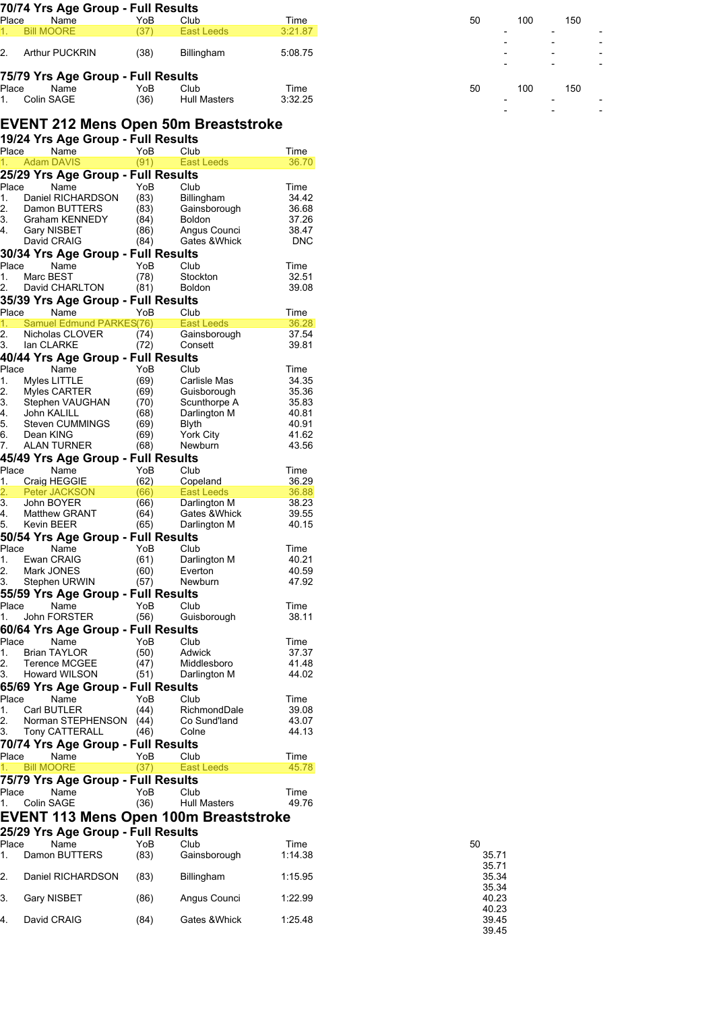|                                  | 70/74 Yrs Age Group - Full Results         |              |                                              |                     |
|----------------------------------|--------------------------------------------|--------------|----------------------------------------------|---------------------|
| Place<br><b>Bill MOORE</b><br>1. | Name                                       | YoB<br>(37)  | Club<br><b>East Leeds</b>                    | Time<br>3:21.87     |
|                                  |                                            |              |                                              |                     |
| 2.                               | <b>Arthur PUCKRIN</b>                      | (38)         | Billingham                                   | 5:08.75             |
|                                  | 75/79 Yrs Age Group - Full Results         |              |                                              |                     |
| Place                            | Name                                       | YoB          | Club                                         | Time                |
| Colin SAGE<br>1.                 |                                            | (36)         | <b>Hull Masters</b>                          | 3:32.25             |
|                                  |                                            |              | EVENT 212 Mens Open 50m Breaststroke         |                     |
|                                  | 19/24 Yrs Age Group - Full Results         |              |                                              |                     |
| Place                            | Name                                       | YoB          | Club                                         | Time                |
| <b>Adam DAVIS</b>                |                                            | (91)         | <b>East Leeds</b>                            | 36.70               |
| Place                            | 25/29 Yrs Age Group - Full Results<br>Name | YoB          | Club                                         | Time                |
| 1.                               | Daniel RICHARDSON                          | (83)         | <b>Billingham</b>                            | 34.42               |
| 2.                               | Damon BUTTERS                              | (83)         | Gainsborough                                 | 36.68               |
| 3.                               | Graham KENNEDY                             | (84)         | <b>Boldon</b>                                | 37.26               |
| 4.<br>Gary NISBET<br>David CRAIG |                                            | (86)<br>(84) | Angus Counci<br>Gates & Whick                | 38.47<br><b>DNC</b> |
|                                  | 30/34 Yrs Age Group - Full Results         |              |                                              |                     |
| Place                            | Name                                       | YoB          | Club                                         | Time                |
| Marc BEST<br>1.                  |                                            | (78)         | Stockton                                     | 32.51               |
| 2.                               | David CHARLTON                             | (81)         | <b>Boldon</b>                                | 39.08               |
| Place                            | 35/39 Yrs Age Group - Full Results<br>Name | YoB          | Club                                         | Time                |
| 1.                               | Samuel Edmund PARKES(76)                   |              | <b>East Leeds</b>                            | 36.28               |
| 2.                               | Nicholas CLOVER                            | (74)         | Gainsborough                                 | 37.54               |
| lan CLARKE<br>3.                 |                                            | (72)         | Consett                                      | 39.81               |
|                                  | 40/44 Yrs Age Group - Full Results         |              |                                              |                     |
| Place<br>1.                      | Name<br>Myles LITTLE                       | YoB<br>(69)  | Club<br>Carlisle Mas                         | Time<br>34.35       |
| 2.                               | Myles CARTER                               | (69)         | Guisborough                                  | 35.36               |
| 3.                               | Stephen VAUGHAN                            | (70)         | Scunthorpe A                                 | 35.83               |
| John KALILL<br>4.<br>5.          | Steven CUMMINGS                            | (68)<br>(69) | Darlington M<br>Blyth                        | 40.81<br>40.91      |
| 6.<br>Dean KING                  |                                            | (69)         | York City                                    | 41.62               |
| 7.                               | <b>ALAN TURNER</b>                         | (68)         | Newburn                                      | 43.56               |
|                                  | 45/49 Yrs Age Group - Full Results         |              |                                              |                     |
| Place<br>1.                      | Name                                       | YoB<br>(62)  | Club<br>Copeland                             | Time<br>36.29       |
| 2.                               | Craig HEGGIE<br>Peter JACKSON              | (66)         | East Leeds                                   | 36.88               |
| 3.<br>John BOYER                 |                                            | (66)         | Darlington M                                 | 38.23               |
| 4.                               | <b>Matthew GRANT</b>                       | (64)         | Gates & Whick                                | 39.55               |
| Kevin BEER<br>5.                 |                                            | (65)         | Darlington M                                 | 40.15               |
| Place                            | 50/54 Yrs Age Group - Full Results<br>Name | YoB          | Club                                         | Time                |
| Ewan CRAIG<br>1.                 |                                            | (61)         | Darlington M                                 | 40.21               |
| 2.<br>Mark JONES                 |                                            | (60)         | Everton                                      | 40.59               |
| 3.                               | Stephen URWIN                              | (57)         | Newburn                                      | 47.92               |
|                                  | 55/59 Yrs Age Group - Full Results         |              |                                              |                     |
| Place<br>1.                      | Name<br>John FORSTER                       | YoB<br>(56)  | Club<br>Guisborough                          | Time<br>38.11       |
|                                  | 60/64 Yrs Age Group - Full Results         |              |                                              |                     |
| Place                            | Name                                       | YoB          | Club                                         | Time                |
| 1.                               | <b>Brian TAYLOR</b>                        | (50)         | Adwick                                       | 37.37               |
| 2.<br>3.                         | <b>Terence MCGEE</b><br>Howard WILSON      | (47)<br>(51) | Middlesboro<br>Darlington M                  | 41.48<br>44.02      |
|                                  | 65/69 Yrs Age Group - Full Results         |              |                                              |                     |
| Place                            | Name                                       | YoB          | Club                                         | Time                |
| Carl BUTLER<br>1.                |                                            | (44)         | RichmondDale                                 | 39.08               |
| 2.                               | Norman STEPHENSON                          | (44)         | Co Sund'land                                 | 43.07               |
| 3.                               | Tony CATTERALL                             | (46)         | Colne                                        | 44.13               |
|                                  | 70/74 Yrs Age Group - Full Results<br>Name | YoB          | Club                                         | Time                |
|                                  |                                            | (37)         | <b>East Leeds</b>                            | 45.78               |
| Place<br><b>Bill MOORE</b><br>1. | 75/79 Yrs Age Group - Full Results         |              |                                              |                     |
|                                  |                                            |              | Club                                         | Time                |
| Place                            | Name                                       | YoB          |                                              | 49.76               |
| Colin SAGE<br>1.                 |                                            | (36)         | <b>Hull Masters</b>                          |                     |
|                                  |                                            |              | <b>EVENT 113 Mens Open 100m Breaststroke</b> |                     |
|                                  | 25/29 Yrs Age Group - Full Results         |              |                                              |                     |
| Place                            | Name                                       | YoB          | Club                                         | Time                |
| 1.                               | Damon BUTTERS                              | (83)         | Gainsborough                                 | 1:14.38             |
| 2.                               | Daniel RICHARDSON                          | (83)         | Billingham                                   | 1:15.95             |
|                                  |                                            |              |                                              |                     |
| 3.<br><b>Gary NISBET</b>         |                                            | (86)         | Angus Counci                                 | 1:22.99             |

| 50 | 100 | 150 |  |
|----|-----|-----|--|
|    |     |     |  |
|    |     |     |  |
|    |     |     |  |
|    |     |     |  |
|    |     |     |  |
| 50 | 100 | 150 |  |
|    |     |     |  |
|    |     |     |  |
|    |     |     |  |

| ກບ |       |
|----|-------|
|    | 35.71 |
|    | 35.71 |
|    | 35.34 |
|    | 35 34 |
|    | 40.23 |
|    | 40 23 |
|    | 39 45 |
|    | 39.45 |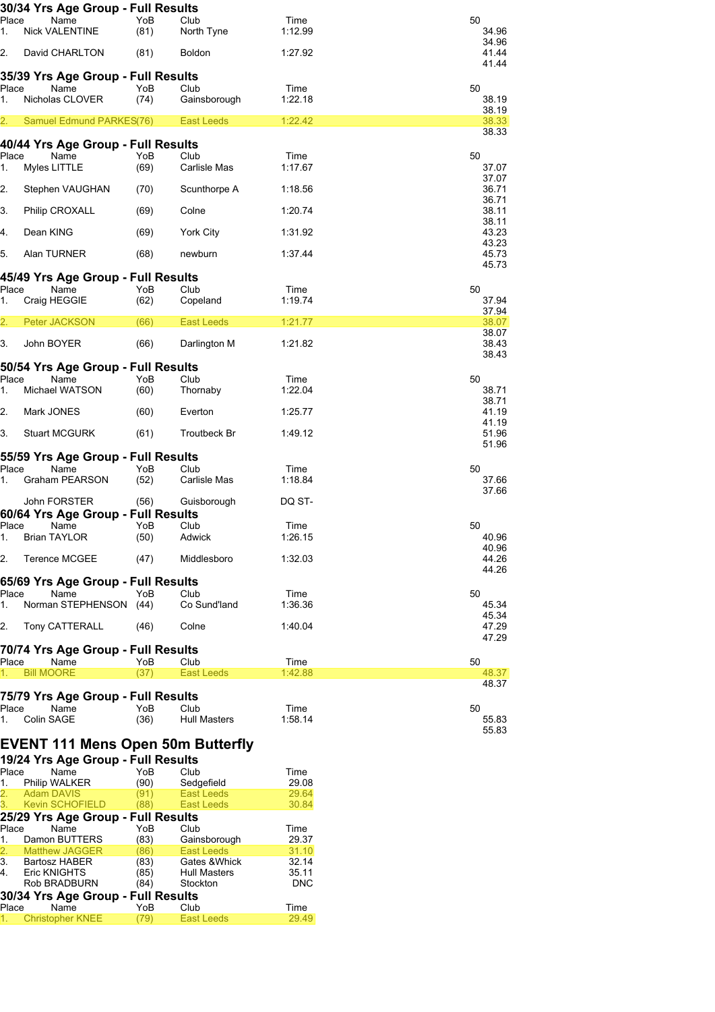|             | 30/34 Yrs Age Group - Full Results       |             |                      |                 |                         |
|-------------|------------------------------------------|-------------|----------------------|-----------------|-------------------------|
| Place<br>1. | Name<br><b>Nick VALENTINE</b>            | YoB<br>(81) | Club<br>North Tyne   | Time<br>1:12.99 | 50<br>34.96             |
| 2.          | David CHARLTON                           | (81)        | Boldon               | 1:27.92         | 34.96<br>41.44<br>41.44 |
|             | 35/39 Yrs Age Group - Full Results       |             |                      |                 |                         |
| Place       | Name                                     | YoB         | Club                 | Time            | 50                      |
| 1.          | Nicholas CLOVER                          | (74)        | Gainsborough         | 1:22.18         | 38.19                   |
|             |                                          |             |                      |                 | 38.19                   |
| 2.          | Samuel Edmund PARKES(76)                 |             | <b>East Leeds</b>    | 1:22.42         | 38.33<br>38.33          |
|             | 40/44 Yrs Age Group - Full Results       |             |                      |                 |                         |
| Place<br>1. | Name<br>Myles LITTLE                     | YoB<br>(69) | Club<br>Carlisle Mas | Time<br>1:17.67 | 50<br>37.07             |
|             |                                          |             |                      |                 | 37.07                   |
| 2.          | Stephen VAUGHAN                          | (70)        | Scunthorpe A         | 1:18.56         | 36.71                   |
|             |                                          |             |                      |                 | 36.71                   |
| 3.          | Philip CROXALL                           | (69)        | Colne                | 1:20.74         | 38.11                   |
|             |                                          |             |                      |                 | 38.11                   |
| 4.          | Dean KING                                | (69)        | York City            | 1:31.92         | 43.23<br>43.23          |
| 5.          | Alan TURNER                              | (68)        | newburn              | 1:37.44         | 45.73                   |
|             |                                          |             |                      |                 | 45.73                   |
|             | 45/49 Yrs Age Group - Full Results       |             |                      |                 |                         |
| Place       | Name                                     | YoB         | Club                 | Time            | 50                      |
| 1.          | Craig HEGGIE                             | (62)        | Copeland             | 1:19.74         | 37.94                   |
|             |                                          |             |                      |                 | 37.94                   |
| 2.          | Peter JACKSON                            | (66)        | East Leeds           | 1:21.77         | 38.07                   |
| 3.          | John BOYER                               | (66)        | Darlington M         | 1:21.82         | 38.07<br>38.43          |
|             |                                          |             |                      |                 | 38.43                   |
|             | 50/54 Yrs Age Group - Full Results       |             |                      |                 |                         |
| Place       | Name                                     | YoB         | Club                 | Time            | 50                      |
| 1.          | Michael WATSON                           | (60)        | Thornaby             | 1:22.04         | 38.71                   |
|             |                                          |             |                      |                 | 38.71                   |
| 2.          | Mark JONES                               | (60)        | Everton              | 1:25.77         | 41.19                   |
|             |                                          |             |                      |                 | 41.19                   |
| 3.          | <b>Stuart MCGURK</b>                     | (61)        | Troutbeck Br         | 1:49.12         | 51.96<br>51.96          |
|             | 55/59 Yrs Age Group - Full Results       |             |                      |                 |                         |
| Place       | Name                                     | YoB         | Club                 | Time            | 50                      |
| 1.          | <b>Graham PEARSON</b>                    | (52)        | Carlisle Mas         | 1:18.84         | 37.66                   |
|             |                                          |             |                      |                 | 37.66                   |
|             | John FORSTER                             | (56)        | Guisborough          | DQ ST-          |                         |
|             | 60/64 Yrs Age Group - Full Results       |             |                      |                 |                         |
| Place       | Name                                     | YoB         | Club                 | Time            | 50                      |
| 1.          | <b>Brian TAYLOR</b>                      | (50)        | Adwick               | 1:26.15         | 40.96                   |
|             |                                          |             |                      |                 | 40.96                   |
| 2.          | Terence MCGEE                            | (47)        | Middlesboro          | 1:32.03         | 44.26<br>44.26          |
|             | 65/69 Yrs Age Group - Full Results       |             |                      |                 |                         |
| Place       | Name                                     | YoB         | Club                 | Time            | 50                      |
| 1.          | Norman STEPHENSON (44)                   |             | Co Sund'land         | 1:36.36         | 45.34                   |
|             |                                          |             |                      |                 | 45.34                   |
|             | 2. Tony CATTERALL                        | (46)        | Colne                | 1:40.04         | 47.29                   |
|             |                                          |             |                      |                 | 47.29                   |
|             | 70/74 Yrs Age Group - Full Results       |             |                      |                 |                         |
| Place       | Name                                     | YoB         | Club                 | Time            | 50                      |
| 1.          | <b>Bill MOORE</b>                        | (37)        | East Leeds           | 1:42.88         | 48.37                   |
|             |                                          |             |                      |                 | 48.37                   |
|             | 75/79 Yrs Age Group - Full Results       |             |                      |                 |                         |
| Place       | Name                                     | YoB         | Club                 | Time            | 50                      |
| 1.          | Colin SAGE                               | (36)        | Hull Masters         | 1:58.14         | 55.83                   |
|             |                                          |             |                      |                 | 55.83                   |
|             | <b>EVENT 111 Mens Open 50m Butterfly</b> |             |                      |                 |                         |

|               | 19/24 Yrs Age Group - Full Results |      |                     |            |
|---------------|------------------------------------|------|---------------------|------------|
| Place         | Name                               | YoB  | Club                | Time       |
| 1.            | Philip WALKER                      | (90) | Sedgefield          | 29.08      |
|               | 2. Adam DAVIS                      | (91) | <b>East Leeds</b>   | 29.64      |
| 3.            | <b>Kevin SCHOFIELD</b>             | (88) | <b>East Leeds</b>   | 30.84      |
|               | 25/29 Yrs Age Group - Full Results |      |                     |            |
| Place         | Name                               | YoB  | Club                | Time       |
| 1.            | Damon BUTTERS                      | (83) | Gainsborough        | 29.37      |
| $\frac{2}{3}$ | <b>Matthew JAGGER</b>              | (86) | <b>East Leeds</b>   | 31.10      |
|               | Bartosz HABER                      | (83) | Gates & Whick       | 32.14      |
| 4.            | Eric KNIGHTS                       | (85) | <b>Hull Masters</b> | 35.11      |
|               | Rob BRADBURN                       | (84) | Stockton            | <b>DNC</b> |
|               | 30/34 Yrs Age Group - Full Results |      |                     |            |
| Place         | Name                               | YoB  | Club                | Time       |
| 1.            | <b>Christopher KNEE</b>            | (79) | <b>East Leeds</b>   | 29.49      |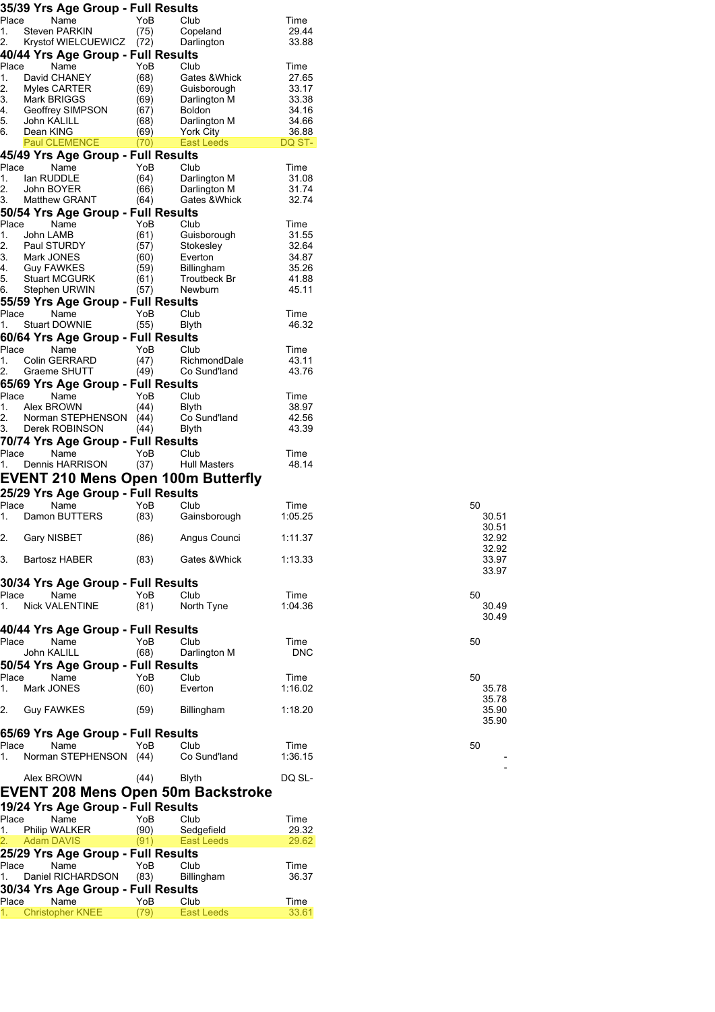| Place<br>1. |                             | 35/39 Yrs Age Group - Full Results         |              |                                           |                 |
|-------------|-----------------------------|--------------------------------------------|--------------|-------------------------------------------|-----------------|
|             | Steven PARKIN               | Name                                       | YoB<br>(75)  | Club<br>Copeland                          | Time<br>29.44   |
| 2.          |                             | Krystof WIELCUEWICZ                        | (72)         | Darlington                                | 33.88           |
|             |                             | 40/44 Yrs Age Group - Full Results         |              |                                           |                 |
| Place       |                             | Name                                       | YoB          | Club                                      | Time            |
| 1.          | David CHANEY                |                                            | (68)         | Gates & Whick                             | 27.65           |
| 2.<br>3.    | Myles CARTER<br>Mark BRIGGS |                                            | (69)<br>(69) | Guisborough                               | 33.17<br>33.38  |
| 4.          |                             | Geoffrey SIMPSON                           | (67)         | Darlington M<br><b>Boldon</b>             | 34.16           |
| 5.          | John KALILL                 |                                            | (68)         | Darlington M                              | 34.66           |
| 6.          | Dean KING                   |                                            | (69)         | York City                                 | 36.88           |
|             | Paul CLEMENCE               |                                            | (70)         | East Leeds                                | DQ ST-          |
| Place       |                             | 45/49 Yrs Age Group - Full Results<br>Name | YoB          | Club                                      | Time            |
| 1.          | lan RUDDLE                  |                                            | (64)         | Darlington M                              | 31.08           |
| 2.          | John BOYER                  |                                            | (66)         | Darlington M                              | 31.74           |
| 3.          | <b>Matthew GRANT</b>        |                                            | (64)         | Gates & Whick                             | 32.74           |
|             |                             | 50/54 Yrs Age Group - Full Results         |              |                                           |                 |
| Place       |                             | Name                                       | YoB          | Club                                      | Time            |
| 1.<br>2.    | John LAMB<br>Paul STURDY    |                                            | (61)<br>(57) | Guisborough<br>Stokesley                  | 31.55<br>32.64  |
| 3.          | Mark JONES                  |                                            | (60)         | Everton                                   | 34.87           |
| 4.          | <b>Guy FAWKES</b>           |                                            | (59)         | Billingham                                | 35.26           |
| 5.          | <b>Stuart MCGURK</b>        |                                            | (61)         | Troutbeck Br                              | 41.88           |
| 6.          | Stephen URWIN               |                                            | (57)         | Newburn                                   | 45.11           |
|             |                             | 55/59 Yrs Age Group - Full Results         |              |                                           |                 |
| Place       |                             | Name                                       | YoB          | Club                                      | Time            |
| 1.          | <b>Stuart DOWNIE</b>        |                                            | (55)         | Blyth                                     | 46.32           |
|             |                             | 60/64 Yrs Age Group - Full Results         |              |                                           |                 |
| Place<br>1. | <b>Colin GERRARD</b>        | Name                                       | YoB<br>(47)  | Club<br>RichmondDale                      | Time<br>43.11   |
| 2.          | Graeme SHUTT                |                                            | (49)         | Co Sund'land                              | 43.76           |
|             |                             | 65/69 Yrs Age Group - Full Results         |              |                                           |                 |
| Place       |                             | Name                                       | YoB          | Club                                      | Time            |
| 1.          | Alex BROWN                  |                                            | (44)         | Blyth                                     | 38.97           |
| 2.          |                             | Norman STEPHENSON                          | (44)         | Co Sund'land                              | 42.56           |
| 3.          |                             | Derek ROBINSON                             | (44)         | Blyth                                     | 43.39           |
|             |                             | 70/74 Yrs Age Group - Full Results         |              |                                           |                 |
| Place<br>1. |                             | Name<br>Dennis HARRISON                    | YoB<br>(37)  | Club<br>Hull Masters                      | Time<br>48.14   |
|             |                             |                                            |              |                                           |                 |
|             |                             |                                            |              | EVENT 210 Mens Open 100m Butterfly        |                 |
|             |                             |                                            |              |                                           |                 |
|             |                             | 25/29 Yrs Age Group - Full Results         |              |                                           |                 |
|             |                             | Name<br>Damon BUTTERS                      | YoB          | Club                                      | Time            |
| Place<br>1. |                             |                                            | (83)         | Gainsborough                              | 1:05.25         |
|             | Gary NISBET                 |                                            | (86)         | Angus Counci                              | 1:11.37         |
| 2.          |                             |                                            |              |                                           |                 |
| 3.          | Bartosz HABER               |                                            | (83)         | Gates & Whick                             | 1:13.33         |
|             |                             |                                            |              |                                           |                 |
|             |                             | 30/34 Yrs Age Group - Full Results         |              |                                           |                 |
| Place<br>1. |                             | Name<br><b>Nick VALENTINE</b>              | YoB          | Club                                      | Time<br>1:04.36 |
|             |                             |                                            | (81)         | North Tyne                                |                 |
|             |                             | 40/44 Yrs Age Group - Full Results         |              |                                           |                 |
|             |                             | Name                                       | YoB          | Club                                      | Time            |
| Place       | John KALILL                 |                                            | (68)         | Darlington M                              | <b>DNC</b>      |
|             |                             | 50/54 Yrs Age Group - Full Results         |              |                                           |                 |
| Place       |                             | Name                                       | YoB          | Club                                      | Time            |
|             | Mark JONES                  |                                            | (60)         | Everton                                   | 1:16.02         |
|             |                             |                                            |              |                                           |                 |
|             | Guy FAWKES                  |                                            | (59)         | Billingham                                | 1:18.20         |
|             |                             |                                            |              |                                           |                 |
| 1.<br>2.    |                             | 65/69 Yrs Age Group - Full Results         | YoB          |                                           |                 |
| Place<br>1. |                             | Name<br>Norman STEPHENSON (44)             |              | Club<br>Co Sund'land                      | Time<br>1:36.15 |
|             |                             |                                            |              |                                           |                 |
|             | Alex BROWN                  |                                            | (44)         | <b>Blyth</b>                              | DQ SL-          |
|             |                             |                                            |              | <b>EVENT 208 Mens Open 50m Backstroke</b> |                 |
|             |                             |                                            |              |                                           |                 |
| Place       |                             | 19/24 Yrs Age Group - Full Results<br>Name | YoB          | Club                                      | Time            |
| 1.          | Philip WALKER               |                                            | (90)         | Sedgefield                                | 29.32           |
| 2.          | <b>Adam DAVIS</b>           |                                            | (91)         | East Leeds                                | 29.62           |
|             |                             | 25/29 Yrs Age Group - Full Results         |              |                                           |                 |
| Place       |                             | Name                                       | YoB          | Club                                      | Time            |
| 1.          |                             | Daniel RICHARDSON                          | (83)         | Billingham                                | 36.37           |
|             |                             | 30/34 Yrs Age Group - Full Results         |              |                                           |                 |
| Place<br>1. |                             | Name<br><b>Christopher KNEE</b>            | YoB<br>(79)  | Club<br>East Leeds                        | Time<br>33.61   |

| 50 | 30.51<br>30.51<br>32.92<br>32.92<br>33.97<br>33.97 |
|----|----------------------------------------------------|
| 50 | 30.49<br>30.49                                     |
| 50 |                                                    |
| 50 | 35.78<br>35.78<br>35.90<br>35.90                   |
| 50 |                                                    |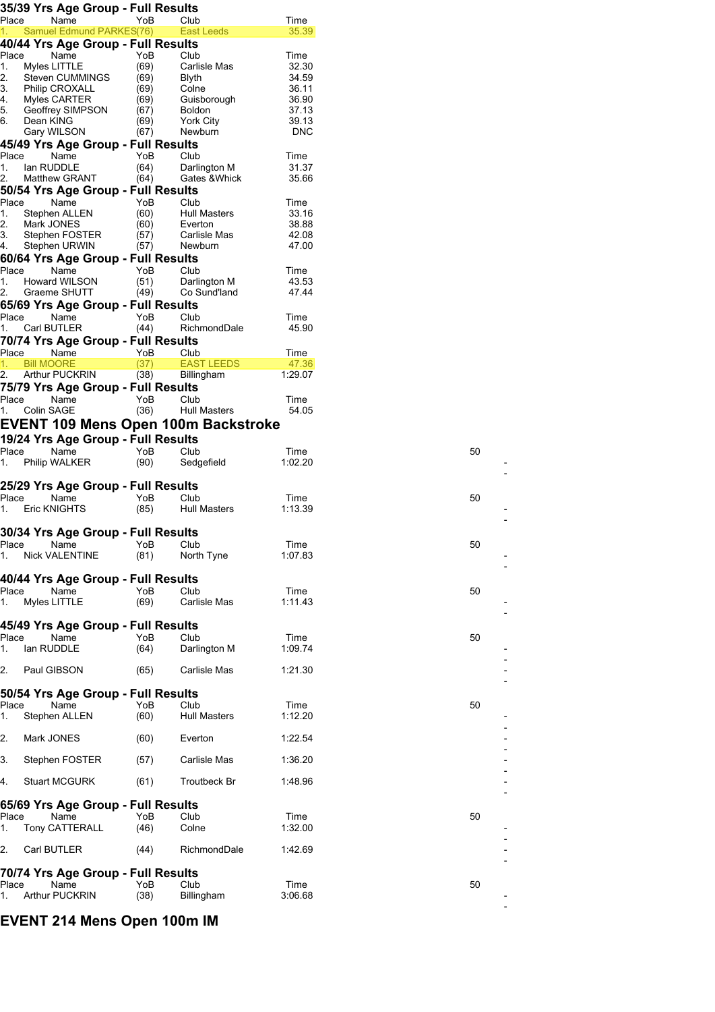|             | 35/39 Yrs Age Group - Full Results                             |              |                      |                     |
|-------------|----------------------------------------------------------------|--------------|----------------------|---------------------|
| Place       | Name                                                           | YoB          | Club                 | Time                |
| 1.          | Samuel Edmund PARKES(76)<br>40/44 Yrs Age Group - Full Results |              | <b>East Leeds</b>    | 35.39               |
| Place       | Name                                                           | YoB          | Club                 | Time                |
| 1.          | Myles LITTLE                                                   | (69)         | Carlisle Mas         | 32.30               |
| 2.<br>3.    | <b>Steven CUMMINGS</b><br><b>Philip CROXALL</b>                | (69)<br>(69) | Blyth<br>Colne       | 34.59<br>36.11      |
| 4.          | Myles CARTER                                                   | (69)         | Guisborough          | 36.90               |
| 5.          | Geoffrey SIMPSON                                               | (67)         | <b>Boldon</b>        | 37.13               |
| 6.          | Dean KING<br>Gary WILSON                                       | (69)<br>(67) | York City<br>Newburn | 39.13<br><b>DNC</b> |
|             | 45/49 Yrs Age Group - Full Results                             |              |                      |                     |
| Place       | Name                                                           | YoB          | Club                 | Time                |
| 1.          | lan RUDDLE                                                     | (64)         | Darlington M         | 31.37               |
| 2.          | Matthew GRANT                                                  | (64)         | Gates & Whick        | 35.66               |
| Place       | 50/54 Yrs Age Group - Full Results<br>Name                     | YoB          | Club                 | Time                |
| 1.          | Stephen ALLEN                                                  | (60)         | Hull Masters         | 33.16               |
| 2.          | Mark JONES                                                     | (60)         | Everton              | 38.88               |
| 3.          | Stephen FOSTER                                                 | (57)         | Carlisle Mas         | 42.08<br>47.00      |
| 4.          | Stephen URWIN<br>60/64 Yrs Age Group - Full Results            | (57)         | Newburn              |                     |
| Place       | Name                                                           | YoB          | Club                 | Time                |
| 1.          | <b>Howard WILSON</b>                                           | (51)         | Darlington M         | 43.53               |
| 2.          | Graeme SHUTT                                                   | (49)         | Co Sund'land         | 47.44               |
|             | 65/69 Yrs Age Group - Full Results                             |              |                      |                     |
| Place<br>1. | Name<br>Carl BUTLER                                            | YoB<br>(44)  | Club<br>RichmondDale | Time<br>45.90       |
|             | 70/74 Yrs Age Group - Full Results                             |              |                      |                     |
| Place       | Name                                                           | YoB          | Club                 | Time                |
| 1.          | <b>Bill MOORE</b>                                              | (37)         | <b>EAST LEEDS</b>    | 47.36               |
| 2.          | <b>Arthur PUCKRIN</b><br>75/79 Yrs Age Group - Full Results    | (38)         | Billingham           | 1:29.07             |
| Place       | Name                                                           | YoB          | Club                 | Time                |
| 1.          | Colin SAGE                                                     | (36)         | Hull Masters         | 54.05               |
|             | EVENT 109 Mens Open 100m Backstroke                            |              |                      |                     |
|             | 19/24 Yrs Age Group - Full Results                             |              |                      |                     |
| Place       | Name                                                           | YoB          | Club                 | Time                |
| 1.          | Philip WALKER                                                  | (90)         | Sedgefield           | 1:02.20             |
|             | 25/29 Yrs Age Group - Full Results                             |              |                      |                     |
| Place       | Name                                                           | YoB          | Club                 | Time                |
| 1.          | Eric KNIGHTS                                                   | (85)         | <b>Hull Masters</b>  | 1:13.39             |
|             |                                                                |              |                      |                     |
| Place       | 30/34 Yrs Age Group - Full Results<br>Name                     | YoB          | Club                 | Time                |
| 1.          | Nick VALENTINE                                                 | (81)         | North Tyne           | 1:07.83             |
|             |                                                                |              |                      |                     |
|             | 40/44 Yrs Age Group - Full Results                             |              | Club                 |                     |
| Place<br>1. | Name<br>Myles LITTLE                                           | YoB<br>(69)  | Carlisle Mas         | Time<br>1:11.43     |
|             |                                                                |              |                      |                     |
|             | 45/49 Yrs Age Group - Full Results                             |              |                      |                     |
| Place       | Name                                                           | YoB          | Club                 | Time                |
| 1.          | lan RUDDLE                                                     | (64)         | Darlington M         | 1:09.74             |
| 2.          | Paul GIBSON                                                    | (65)         | Carlisle Mas         | 1:21.30             |
|             |                                                                |              |                      |                     |
|             | 50/54 Yrs Age Group - Full Results                             |              |                      |                     |
| Place<br>1. | Name<br>Stephen ALLEN                                          | YoB<br>(60)  | Club<br>Hull Masters | Time<br>1:12.20     |
|             |                                                                |              |                      |                     |
| 2.          | Mark JONES                                                     | (60)         | Everton              | 1:22.54             |
|             |                                                                |              |                      |                     |
| 3.          | Stephen FOSTER                                                 | (57)         | Carlisle Mas         | 1:36.20             |
| 4.          | <b>Stuart MCGURK</b>                                           | (61)         | Troutbeck Br         | 1:48.96             |
|             |                                                                |              |                      |                     |
|             |                                                                |              |                      |                     |
|             | 65/69 Yrs Age Group - Full Results                             |              |                      |                     |
| Place       | Name                                                           | YoB          | Club                 | Time                |
|             | Tony CATTERALL                                                 | (46)         | Colne                | 1:32.00             |
|             | Carl BUTLER                                                    | (44)         | RichmondDale         | 1:42.69             |
|             |                                                                |              |                      |                     |
| 1.<br>2.    | 70/74 Yrs Age Group - Full Results                             |              |                      |                     |
| Place<br>1. | Name<br><b>Arthur PUCKRIN</b>                                  | YoB<br>(38)  | Club<br>Billingham   | Time<br>3:06.68     |

--

--

--

--

--

--

 $\overline{a}$  $\overline{a}$ 

--

--

--

--

 $\overline{a}$ 

--

L. l.

--

--

 $\overline{\phantom{a}}$  $\overline{a}$ 

**EVENT 214 Mens Open 100m IM**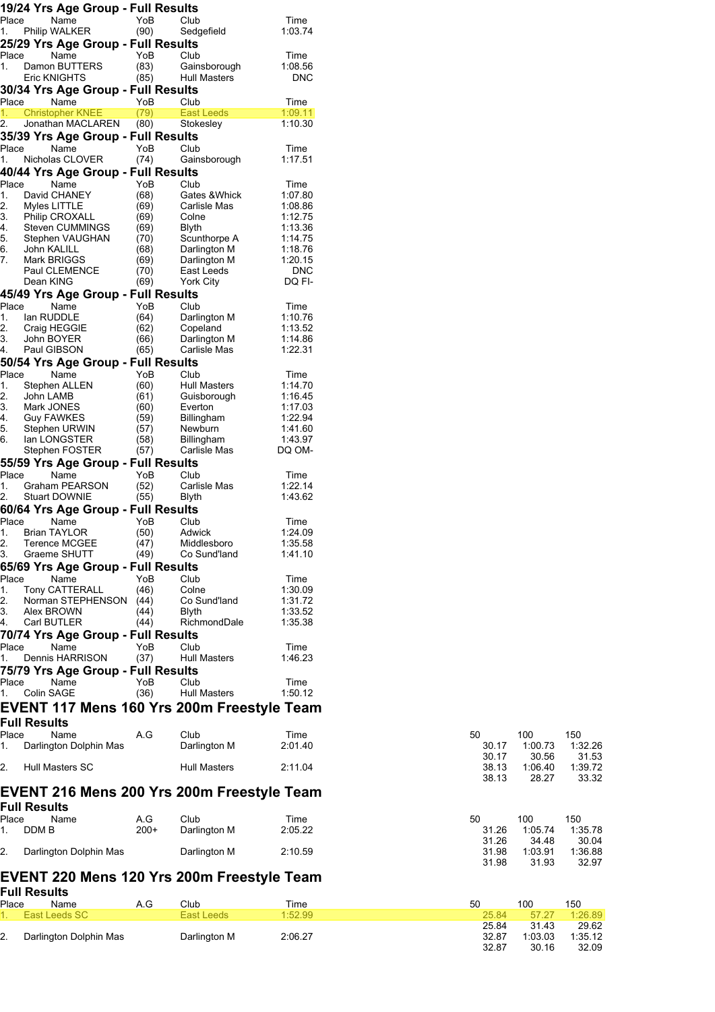|             | 19/24 Yrs Age Group - Full Results           |               |                                |                    |                |                  |                  |
|-------------|----------------------------------------------|---------------|--------------------------------|--------------------|----------------|------------------|------------------|
| Place<br>1. | Name<br>Philip WALKER                        | YoB<br>(90)   | Club<br>Sedgefield             | Time<br>1:03.74    |                |                  |                  |
|             | 25/29 Yrs Age Group - Full Results           |               |                                |                    |                |                  |                  |
| Place       | Name                                         | YoB           | Club                           | Time               |                |                  |                  |
| 1.          | Damon BUTTERS                                | (83)          | Gainsborough                   | 1:08.56            |                |                  |                  |
|             | Eric KNIGHTS                                 | (85)          | <b>Hull Masters</b>            | <b>DNC</b>         |                |                  |                  |
|             | 30/34 Yrs Age Group - Full Results           |               |                                |                    |                |                  |                  |
| Place       | Name                                         | YoB           | Club                           | Time               |                |                  |                  |
| 1.<br>2.    | <b>Christopher KNEE</b><br>Jonathan MACLAREN | (79)<br>(80)  | <b>East Leeds</b><br>Stokesley | 1:09.11<br>1:10.30 |                |                  |                  |
|             | 35/39 Yrs Age Group - Full Results           |               |                                |                    |                |                  |                  |
| Place       | Name                                         | YoB           | Club                           | Time               |                |                  |                  |
| 1.          | Nicholas CLOVER                              | (74)          | Gainsborough                   | 1:17.51            |                |                  |                  |
|             | 40/44 Yrs Age Group - Full Results           |               |                                |                    |                |                  |                  |
| Place<br>1. | Name<br>David CHANEY                         | YoB<br>(68)   | Club<br>Gates & Whick          | Time<br>1:07.80    |                |                  |                  |
| 2.          | Myles LITTLE                                 | (69)          | Carlisle Mas                   | 1:08.86            |                |                  |                  |
| 3.          | <b>Philip CROXALL</b>                        | (69)          | Colne                          | 1:12.75            |                |                  |                  |
| 4.          | Steven CUMMINGS                              | (69)          | <b>Blyth</b>                   | 1:13.36            |                |                  |                  |
| 5.<br>6.    | Stephen VAUGHAN<br>John KALILL               | (70)<br>(68)  | Scunthorpe A<br>Darlington M   | 1:14.75<br>1:18.76 |                |                  |                  |
| 7.          | Mark BRIGGS                                  | (69)          | Darlington M                   | 1:20.15            |                |                  |                  |
|             | Paul CLEMENCE                                | (70)          | East Leeds                     | <b>DNC</b>         |                |                  |                  |
|             | Dean KING                                    | (69)          | York City                      | DQ FI-             |                |                  |                  |
| Place       | 45/49 Yrs Age Group - Full Results<br>Name   | YoB           | Club                           | Time               |                |                  |                  |
| 1.          | lan RUDDLE                                   | (64)          | Darlington M                   | 1:10.76            |                |                  |                  |
| 2.          | Craig HEGGIE                                 | (62)          | Copeland                       | 1:13.52            |                |                  |                  |
| 3.          | John BOYER                                   | (66)          | Darlington M                   | 1:14.86            |                |                  |                  |
| 4.          | Paul GIBSON                                  | (65)          | Carlisle Mas                   | 1:22.31            |                |                  |                  |
| Place       | 50/54 Yrs Age Group - Full Results<br>Name   | YoB           | Club                           | Time               |                |                  |                  |
| 1.          | Stephen ALLEN                                | (60)          | <b>Hull Masters</b>            | 1:14.70            |                |                  |                  |
| 2.          | John LAMB                                    | (61)          | Guisborough                    | 1:16.45            |                |                  |                  |
| 3.          | Mark JONES                                   | (60)          | Everton                        | 1:17.03            |                |                  |                  |
| 4.<br>5.    | Guy FAWKES<br>Stephen URWIN                  | (59)<br>(57)  | <b>Billingham</b><br>Newburn   | 1:22.94<br>1:41.60 |                |                  |                  |
| 6.          | lan LONGSTER                                 | (58)          | <b>Billingham</b>              | 1:43.97            |                |                  |                  |
|             | Stephen FOSTER                               | (57)          | Carlisle Mas                   | DQ OM-             |                |                  |                  |
|             | 55/59 Yrs Age Group - Full Results           |               |                                |                    |                |                  |                  |
| Place<br>1. | Name<br>Graham PEARSON                       | YoB<br>(52)   | Club<br>Carlisle Mas           | Time<br>1:22.14    |                |                  |                  |
| 2.          | <b>Stuart DOWNIE</b>                         | (55)          | Blyth                          | 1:43.62            |                |                  |                  |
|             | 60/64 Yrs Age Group - Full Results           |               |                                |                    |                |                  |                  |
| Place       | Name                                         | YoB           | Club                           | Time               |                |                  |                  |
| 1.          | <b>Brian TAYLOR</b>                          | (50)          | Adwick                         | 1:24.09            |                |                  |                  |
| 3.          | 2. Terence MCGEE<br>Graeme SHUTT             | (47)<br>(49)  | Middlesboro<br>Co Sund'land    | 1:35.58<br>1:41.10 |                |                  |                  |
|             | 65/69 Yrs Age Group - Full Results           |               |                                |                    |                |                  |                  |
| Place       | Name                                         | YoB           | Club                           | Time               |                |                  |                  |
| 1.          | Tony CATTERALL                               | (46)          | Colne                          | 1:30.09            |                |                  |                  |
| 2.          | Norman STEPHENSON (44)                       |               | Co Sund'land                   | 1:31.72            |                |                  |                  |
| 4.          | Alex BROWN<br>Carl BUTLER                    | (44)<br>(44)  | <b>Blyth</b><br>RichmondDale   | 1:33.52<br>1:35.38 |                |                  |                  |
|             | 70/74 Yrs Age Group - Full Results           |               |                                |                    |                |                  |                  |
| Place       | Name                                         | YoB           | Club                           | Time               |                |                  |                  |
| 1.          | <b>Dennis HARRISON</b>                       | (37)          | Hull Masters                   | 1:46.23            |                |                  |                  |
|             | 75/79 Yrs Age Group - Full Results           |               |                                |                    |                |                  |                  |
| Place       | Name<br>Colin SAGE                           | YoB           | Club<br><b>Hull Masters</b>    | Time<br>1:50.12    |                |                  |                  |
| 1.          | EVENT 117 Mens 160 Yrs 200m Freestyle Team   | (36)          |                                |                    |                |                  |                  |
|             |                                              |               |                                |                    |                |                  |                  |
| Place       | <b>Full Results</b>                          | A.G           | Club                           |                    |                |                  |                  |
| 1.          | Name<br>Darlington Dolphin Mas               |               | Darlington M                   | Time<br>2:01.40    | 50<br>30.17    | 100<br>1:00.73   | 150<br>1:32.26   |
|             |                                              |               |                                |                    | 30.17          | 30.56            | 31.53            |
| 2.          | Hull Masters SC                              |               | Hull Masters                   | 2:11.04            | 38.13<br>38.13 | 1:06.40<br>28.27 | 1:39.72<br>33.32 |
|             | EVENT 216 Mens 200 Yrs 200m Freestyle Team   |               |                                |                    |                |                  |                  |
|             | <b>Full Results</b>                          |               |                                |                    |                |                  |                  |
| Place<br>1. | Name<br>DDM B                                | A.G<br>$200+$ | Club<br>Darlington M           | Time<br>2:05.22    | 50<br>31.26    | 100<br>1:05.74   | 150<br>1:35.78   |
|             |                                              |               |                                |                    | 31.26          | 34.48            | 30.04            |
| 2.          | Darlington Dolphin Mas                       |               | Darlington M                   | 2:10.59            | 31.98<br>31.98 | 1:03.91<br>31.93 | 1:36.88<br>32.97 |
|             | EVENT 220 Mens 120 Yrs 200m Freestyle Team   |               |                                |                    |                |                  |                  |

|       | Full Results           |     |              |         |       |         |         |  |  |  |  |
|-------|------------------------|-----|--------------|---------|-------|---------|---------|--|--|--|--|
| Place | Name                   | A.G | Club         | Time    | 50    | 100     | 150     |  |  |  |  |
|       | 1. East Leeds SC       |     | East Leeds   | 1:52.99 | 25.84 | 57 27   | 1:26.89 |  |  |  |  |
|       |                        |     |              |         | 25.84 | 31.43   | 29.62   |  |  |  |  |
|       | Darlington Dolphin Mas |     | Darlington M | 2:06.27 | 32.87 | 1:03.03 | 1:35.12 |  |  |  |  |
|       |                        |     |              |         | 32.87 | 30.16   | 32.09   |  |  |  |  |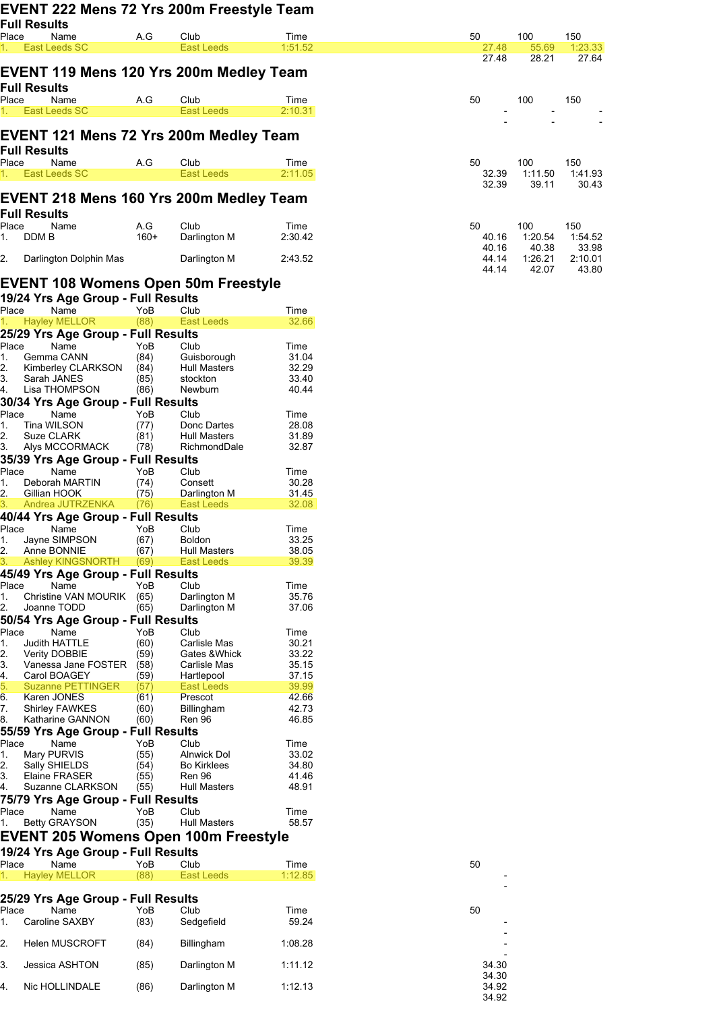|             |                     |                                                        |              | EVENT 222 Mens 72 Yrs 200m Freestyle Team   |                 |    |                |       |
|-------------|---------------------|--------------------------------------------------------|--------------|---------------------------------------------|-----------------|----|----------------|-------|
|             | <b>Full Results</b> |                                                        |              |                                             |                 |    |                |       |
|             | Place               | Name<br>East Leeds SC                                  | A.G          | Club<br>East Leeds                          | Time<br>1:51.52 | 50 |                | 27.48 |
|             |                     |                                                        |              |                                             |                 |    |                | 27.48 |
|             |                     |                                                        |              | EVENT 119 Mens 120 Yrs 200m Medley Team     |                 |    |                |       |
|             | <b>Full Results</b> |                                                        |              |                                             |                 |    |                |       |
|             | Place               | Name<br>East Leeds SC                                  | A.G          | Club<br><b>East Leeds</b>                   | Time<br>2:10.31 | 50 |                |       |
|             |                     |                                                        |              |                                             |                 |    |                |       |
|             |                     |                                                        |              | EVENT 121 Mens 72 Yrs 200m Medley Team      |                 |    |                |       |
|             | Full Results        |                                                        |              |                                             |                 |    |                |       |
| Place       |                     | Name<br>East Leeds SC                                  | A.G          | Club<br><b>East Leeds</b>                   | Time<br>2:11.05 | 50 |                | 32.39 |
|             |                     |                                                        |              |                                             |                 |    |                | 32.39 |
|             |                     |                                                        |              | EVENT 218 Mens 160 Yrs 200m Medley Team     |                 |    |                |       |
|             | Full Results        |                                                        |              |                                             |                 |    |                |       |
| Place       |                     | Name                                                   | A.G          | Club                                        | Time            | 50 |                |       |
| 1.          | DDM B               |                                                        | $160+$       | Darlington M                                | 2:30.42         |    | 40.16<br>40.16 |       |
| 2.          |                     | Darlington Dolphin Mas                                 |              | Darlington M                                | 2:43.52         |    | 44.14          |       |
|             |                     |                                                        |              |                                             |                 |    | 44.14          |       |
|             |                     |                                                        |              | EVENT 108 Womens Open 50m Freestyle         |                 |    |                |       |
| Place       |                     | 19/24 Yrs Age Group - Full Results<br>Name             | YoB          | Club                                        | Time            |    |                |       |
|             |                     | <b>Hayley MELLOR</b>                                   | (88)         | East Leeds                                  | 32.66           |    |                |       |
|             |                     | 25/29 Yrs Age Group - Full Results                     |              |                                             |                 |    |                |       |
| Place       |                     | Name                                                   | YoB          | Club                                        | Time            |    |                |       |
| 1.<br>2.    |                     | Gemma CANN<br>Kimberley CLARKSON                       | (84)<br>(84) | Guisborough<br><b>Hull Masters</b>          | 31.04<br>32.29  |    |                |       |
| 3.          | Sarah JANES         |                                                        | (85)         | stockton                                    | 33.40           |    |                |       |
|             |                     | Lisa THOMPSON<br>30/34 Yrs Age Group - Full Results    | (86)         | Newburn                                     | 40.44           |    |                |       |
| Place       |                     | Name                                                   | YoB          | Club                                        | Time            |    |                |       |
| 1.          | Tina WILSON         |                                                        | (77)         | Donc Dartes                                 | 28.08           |    |                |       |
| 2.<br>З.    | Suze CLARK          | Alys MCCORMACK                                         | (81)<br>(78) | <b>Hull Masters</b><br>RichmondDale         | 31.89<br>32.87  |    |                |       |
|             |                     | 35/39 Yrs Age Group - Full Results                     |              |                                             |                 |    |                |       |
| Place       |                     | Name                                                   | YoB          | Club                                        | Time            |    |                |       |
| 1.<br>2.    | Gillian HOOK        | Deborah MARTIN                                         | (74)<br>(75) | Consett<br>Darlington M                     | 30.28<br>31.45  |    |                |       |
| 3.          |                     | Andrea JUTRZENKA                                       | (76)         | East Leeds                                  | 32.08           |    |                |       |
|             |                     | 40/44 Yrs Age Group - Full Results                     |              |                                             |                 |    |                |       |
| Place       |                     | Name<br>Jayne SIMPSON                                  | YoB<br>(67)  | Club<br><b>Boldon</b>                       | Time<br>33.25   |    |                |       |
| 1.<br>2.    | Anne BONNIE         |                                                        | (67)         | Hull Masters                                | 38.05           |    |                |       |
|             |                     | <b>Ashley KINGSNORTH</b>                               | (69)         | <b>East Leeds</b>                           | 39.39           |    |                |       |
|             |                     | 45/49 Yrs Age Group - Full Results<br>Name             | YoB          | Club                                        |                 |    |                |       |
| Place<br>1. |                     | Christine VAN MOURIK                                   | (65)         | Darlington M                                | Time<br>35.76   |    |                |       |
| 2.          | Joanne TODD         |                                                        | (65)         | Darlington M                                | 37.06           |    |                |       |
|             |                     | 50/54 Yrs Age Group - Full Results                     |              |                                             |                 |    |                |       |
| Place<br>1. |                     | Name<br><b>Judith HATTLE</b>                           | YoB<br>(60)  | Club<br>Carlisle Mas                        | Time<br>30.21   |    |                |       |
| 2.          |                     | Verity DOBBIE                                          | (59)         | Gates & Whick                               | 33.22           |    |                |       |
| 3.<br>4.    |                     | Vanessa Jane FOSTER<br>Carol BOAGEY                    | (58)<br>(59) | Carlisle Mas<br>Hartlepool                  | 35.15<br>37.15  |    |                |       |
| 5.          |                     | <b>Suzanne PETTINGER</b>                               | (57)         | <b>East Leeds</b>                           | 39.99           |    |                |       |
| 6.<br>7.    | Karen JONES         | <b>Shirley FAWKES</b>                                  | (61)<br>(60) | Prescot<br>Billingham                       | 42.66<br>42.73  |    |                |       |
| 8.          |                     | Katharine GANNON                                       | (60)         | <b>Ren 96</b>                               | 46.85           |    |                |       |
|             |                     | 55/59 Yrs Age Group - Full Results                     |              |                                             |                 |    |                |       |
| Place<br>1. | Mary PURVIS         | Name                                                   | YoB<br>(55)  | Club<br>Alnwick Dol                         | Time<br>33.02   |    |                |       |
| 2.          |                     | Sally SHIELDS                                          | (54)         | <b>Bo Kirklees</b>                          | 34.80           |    |                |       |
| З.          |                     | Elaine FRASER                                          | (55)         | Ren 96                                      | 41.46           |    |                |       |
|             |                     | Suzanne CLARKSON<br>75/79 Yrs Age Group - Full Results | (55)         | <b>Hull Masters</b>                         | 48.91           |    |                |       |
| Place       |                     | Name                                                   | YoB          | Club                                        | Time            |    |                |       |
| 1.          |                     | <b>Betty GRAYSON</b>                                   | (35)         | <b>Hull Masters</b>                         | 58.57           |    |                |       |
|             |                     |                                                        |              | <b>EVENT 205 Womens Open 100m Freestyle</b> |                 |    |                |       |
|             |                     | 19/24 Yrs Age Group - Full Results                     |              |                                             |                 |    |                |       |
| Place<br>1. |                     | Name<br><b>Hayley MELLOR</b>                           | YoB<br>(88)  | Club<br><b>East Leeds</b>                   | Time<br>1:12.85 | 50 |                |       |
|             |                     |                                                        |              |                                             |                 |    |                |       |
|             |                     | 25/29 Yrs Age Group - Full Results                     |              |                                             |                 |    |                |       |
| Place<br>1. |                     | Name<br>Caroline SAXBY                                 | YoB<br>(83)  | Club<br>Sedgefield                          | Time<br>59.24   | 50 |                |       |
|             |                     |                                                        |              |                                             |                 |    |                |       |
| 2.          |                     | <b>Helen MUSCROFT</b>                                  | (84)         | <b>Billingham</b>                           | 1:08.28         |    |                |       |
| 3.          |                     | Jessica ASHTON                                         | (85)         | Darlington M                                | 1:11.12         |    | 34.30          |       |
| 4.          |                     |                                                        |              |                                             |                 |    | 34.30          |       |
|             |                     | Nic HOLLINDALE                                         | (86)         | Darlington M                                | 1:12.13         |    | 34.92<br>34.92 |       |
|             |                     |                                                        |              |                                             |                 |    |                |       |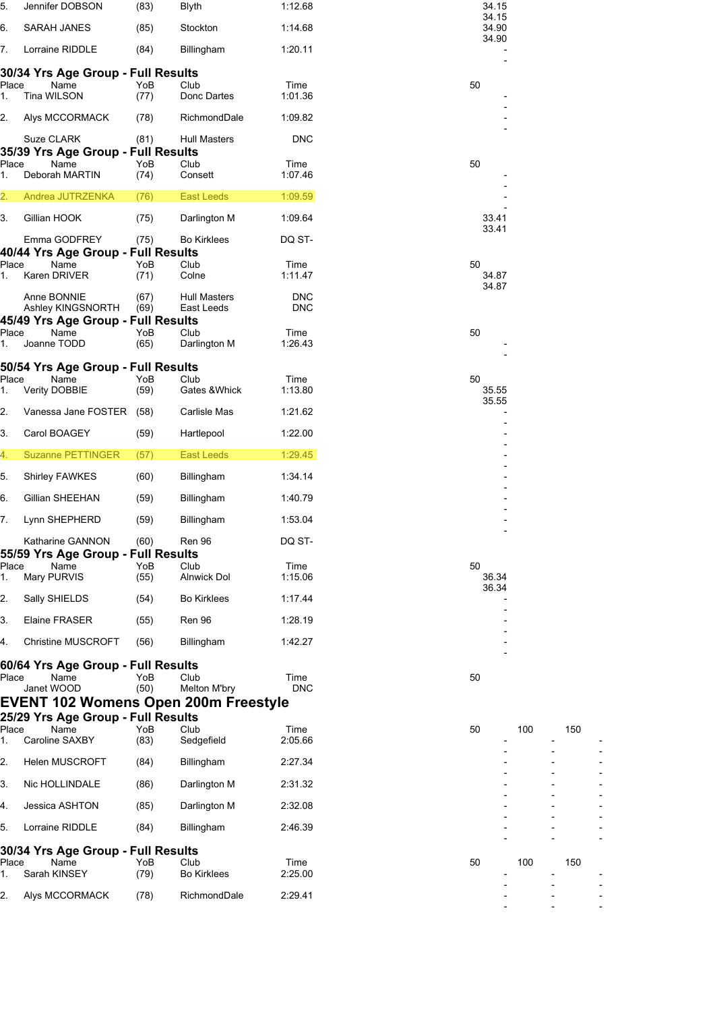| 5.               | Jennifer DOBSON                                        | (83)         | <b>Blyth</b>                | 1:12.68                  | 34.15<br>34.15 |     |     |  |
|------------------|--------------------------------------------------------|--------------|-----------------------------|--------------------------|----------------|-----|-----|--|
| 6.               | <b>SARAH JANES</b>                                     | (85)         | Stockton                    | 1:14.68                  | 34.90          |     |     |  |
| 7.               | Lorraine RIDDLE                                        | (84)         | Billingham                  | 1:20.11                  | 34.90          |     |     |  |
|                  | 30/34 Yrs Age Group - Full Results                     |              |                             |                          |                |     |     |  |
| Place<br>1.      | Name<br>Tina WILSON                                    | YoB<br>(77)  | Club<br>Donc Dartes         | Time<br>1:01.36          | 50             |     |     |  |
| 2.               | Alys MCCORMACK                                         | (78)         | RichmondDale                | 1:09.82                  |                |     |     |  |
|                  | Suze CLARK<br>35/39 Yrs Age Group - Full Results       | (81)         | <b>Hull Masters</b>         | <b>DNC</b>               |                |     |     |  |
| Place<br>1.      | Name<br>Deborah MARTIN                                 | YoB<br>(74)  | Club<br>Consett             | Time<br>1:07.46          | 50             |     |     |  |
| $\overline{2}$ . | Andrea JUTRZENKA                                       | (76)         | <b>East Leeds</b>           | 1:09.59                  |                |     |     |  |
| 3.               | Gillian HOOK                                           | (75)         | Darlington M                | 1:09.64                  | 33.41          |     |     |  |
|                  | Emma GODFREY<br>40/44 Yrs Age Group - Full Results     | (75)         | <b>Bo Kirklees</b>          | DQ ST-                   | 33.41          |     |     |  |
| Place            | Name                                                   | YoB          | Club                        | Time                     | 50             |     |     |  |
| 1.               | Karen DRIVER                                           | (71)         | Colne                       | 1:11.47                  | 34.87<br>34.87 |     |     |  |
|                  | Anne BONNIE<br>Ashley KINGSNORTH                       | (67)<br>(69) | Hull Masters<br>East Leeds  | <b>DNC</b><br><b>DNC</b> |                |     |     |  |
| Place            | 45/49 Yrs Age Group - Full Results<br>Name             | YoB          | Club                        | Time                     | 50             |     |     |  |
| 1.               | Joanne TODD                                            | (65)         | Darlington M                | 1:26.43                  |                |     |     |  |
| Place            | 50/54 Yrs Age Group - Full Results<br>Name             | YoB          | Club                        | Time                     | 50             |     |     |  |
| 1.               | Verity DOBBIE                                          | (59)         | Gates & Whick               | 1:13.80                  | 35.55<br>35.55 |     |     |  |
| 2.               | Vanessa Jane FOSTER (58)                               |              | Carlisle Mas                | 1:21.62                  |                |     |     |  |
| 3.               | Carol BOAGEY                                           | (59)         | Hartlepool                  | 1:22.00                  |                |     |     |  |
| 4.               | <b>Suzanne PETTINGER</b>                               | (57)         | <b>East Leeds</b>           | 1:29.45                  |                |     |     |  |
| 5.               | Shirley FAWKES                                         | (60)         | Billingham                  | 1:34.14                  |                |     |     |  |
| 6.               | Gillian SHEEHAN                                        | (59)         | <b>Billingham</b>           | 1:40.79                  |                |     |     |  |
| 7.               | Lynn SHEPHERD                                          | (59)         | <b>Billingham</b>           | 1:53.04                  |                |     |     |  |
|                  | Katharine GANNON<br>55/59 Yrs Age Group - Full Results | (60)         | Ren 96                      | DQ ST-                   |                |     |     |  |
| Place<br>1.      | Name<br>Mary PURVIS                                    | YoB<br>(55)  | Club<br><b>Alnwick Dol</b>  | Time<br>1:15.06          | 50<br>36.34    |     |     |  |
| 2.               | Sally SHIELDS                                          | (54)         | <b>Bo Kirklees</b>          | 1:17.44                  | 36.34          |     |     |  |
| 3.               | Elaine FRASER                                          | (55)         | Ren 96                      | 1:28.19                  |                |     |     |  |
| 4.               | <b>Christine MUSCROFT</b>                              | (56)         | <b>Billingham</b>           | 1:42.27                  |                |     |     |  |
|                  | 60/64 Yrs Age Group - Full Results                     |              |                             |                          |                |     |     |  |
| Place            | Name<br>Janet WOOD                                     | YoB<br>(50)  | Club<br><b>Melton M'bry</b> | Time<br><b>DNC</b>       | 50             |     |     |  |
|                  | <b>EVENT 102 Womens Open 200m Freestyle</b>            |              |                             |                          |                |     |     |  |
| Place            | 25/29 Yrs Age Group - Full Results<br>Name             | YoB          | Club                        | Time                     | 50             | 100 | 150 |  |
| 1.               | Caroline SAXBY                                         | (83)         | Sedgefield                  | 2:05.66                  |                |     |     |  |
| 2.               | <b>Helen MUSCROFT</b>                                  | (84)         | Billingham                  | 2:27.34                  |                |     |     |  |
| 3.               | Nic HOLLINDALE                                         | (86)         | Darlington M                | 2:31.32                  |                |     |     |  |
| 4.               | Jessica ASHTON                                         | (85)         | Darlington M                | 2:32.08                  |                |     |     |  |
| 5.               | Lorraine RIDDLE                                        | (84)         | Billingham                  | 2:46.39                  |                |     |     |  |
| Place            | 30/34 Yrs Age Group - Full Results<br>Name             | YoB          | Club                        | Time                     | 50             | 100 | 150 |  |
| 1.               | Sarah KINSEY                                           | (79)         | <b>Bo Kirklees</b>          | 2:25.00                  |                |     |     |  |
| 2.               | Alys MCCORMACK                                         | (78)         | RichmondDale                | 2:29.41                  |                |     |     |  |
|                  |                                                        |              |                             |                          |                |     |     |  |

|   | 33.41<br>33.41 |  |
|---|----------------|--|
| 0 | 34.87<br>34.87 |  |
| 0 |                |  |
| 0 | 35.55<br>35.55 |  |
| 0 | 36.34<br>36.34 |  |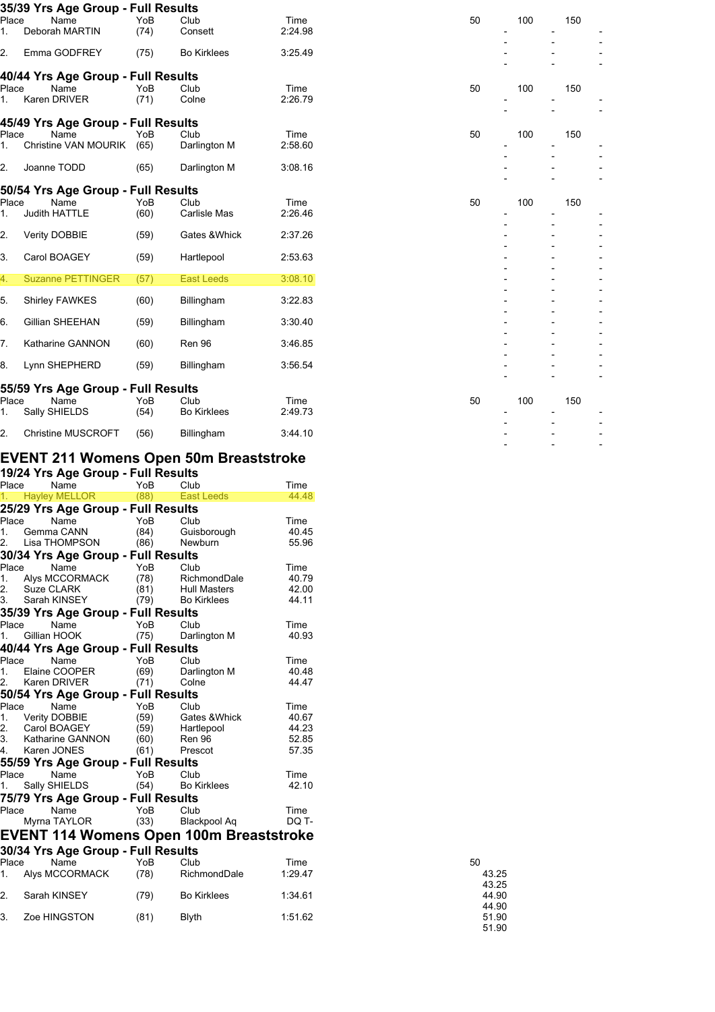|                  | 35/39 Yrs Age Group - Full Results         |      |                    |         |    |  |
|------------------|--------------------------------------------|------|--------------------|---------|----|--|
| Place            | Name                                       | YoB  | Club               | Time    | 50 |  |
| 1.               | Deborah MARTIN                             | (74) | Consett            | 2:24.98 |    |  |
| $\overline{2}$ . | Emma GODFREY                               | (75) | <b>Bo Kirklees</b> | 3:25.49 |    |  |
|                  | 40/44 Yrs Age Group - Full Results         |      |                    |         |    |  |
| Place            | Name                                       | YoB  | Club               | Time    | 50 |  |
| 1.               | Karen DRIVER                               | (71) | Colne              | 2:26.79 |    |  |
|                  | 45/49 Yrs Age Group - Full Results         |      |                    |         |    |  |
| Place            | Name                                       | YoB  | Club               | Time    | 50 |  |
| 1.               | Christine VAN MOURIK                       | (65) | Darlington M       | 2:58.60 |    |  |
| 2.               | Joanne TODD                                | (65) | Darlington M       | 3:08.16 |    |  |
|                  |                                            |      |                    |         |    |  |
| Place            | 50/54 Yrs Age Group - Full Results<br>Name | YoB  | Club               | Time    | 50 |  |
| 1.               | <b>Judith HATTLE</b>                       | (60) | Carlisle Mas       | 2:26.46 |    |  |
| 2.               | Verity DOBBIE                              | (59) | Gates & Whick      | 2:37.26 |    |  |
| 3.               | Carol BOAGEY                               | (59) | Hartlepool         | 2:53.63 |    |  |
|                  |                                            |      |                    |         |    |  |
| 4.               | <b>Suzanne PETTINGER</b>                   | (57) | <b>East Leeds</b>  | 3:08.10 |    |  |
| 5.               | <b>Shirley FAWKES</b>                      | (60) | Billingham         | 3:22.83 |    |  |
| 6.               | Gillian SHEEHAN                            | (59) | Billingham         | 3:30.40 |    |  |
|                  |                                            |      |                    |         |    |  |
| 7.               | Katharine GANNON                           | (60) | Ren 96             | 3:46.85 |    |  |
| 8.               | Lynn SHEPHERD                              | (59) | Billingham         | 3:56.54 |    |  |
|                  | 55/59 Yrs Age Group - Full Results         |      |                    |         |    |  |
| Place            | Name                                       | YoB  | Club               | Time    | 50 |  |
| 1.               | Sally SHIELDS                              | (54) | <b>Bo Kirklees</b> | 2:49.73 |    |  |
| 2.               | <b>Christine MUSCROFT</b>                  | (56) | Billingham         | 3:44.10 |    |  |
|                  |                                            |      |                    |         |    |  |

### **EVENT 211 Womens Open 50m Breaststroke**

#### **19/24 Yrs Age Group - Full Results**

| Place | Name                                           | YoB  | Club                | Time    |
|-------|------------------------------------------------|------|---------------------|---------|
| 1.    | <b>Hayley MELLOR</b>                           | (88) | <b>East Leeds</b>   | 44.48   |
|       | 25/29 Yrs Age Group - Full Results             |      |                     |         |
| Place | Name                                           | YoB  | Club                | Time    |
| 1.    | Gemma CANN                                     | (84) | Guisborough         | 40.45   |
| 2.    | Lisa THOMPSON                                  | (86) | Newburn             | 55.96   |
|       | 30/34 Yrs Age Group - Full Results             |      |                     |         |
| Place | Name                                           | YoB  | Club                | Time    |
| 1.    | Alys MCCORMACK                                 | (78) | RichmondDale        | 40.79   |
| 2.    | Suze CLARK                                     | (81) | <b>Hull Masters</b> | 42.00   |
| 3.    | Sarah KINSEY                                   | (79) | <b>Bo Kirklees</b>  | 44.11   |
|       | 35/39 Yrs Age Group - Full Results             |      |                     |         |
| Place | Name                                           | YoB  | Club                | Time    |
| 1.    | Gillian HOOK                                   | (75) | Darlington M        | 40.93   |
|       | 40/44 Yrs Age Group - Full Results             |      |                     |         |
| Place | Name                                           | YoB  | Club                | Time    |
| 1.    | Elaine COOPER                                  | (69) | Darlington M        | 40.48   |
| 2.    | Karen DRIVER                                   | (71) | Colne               | 44.47   |
|       | 50/54 Yrs Age Group - Full Results             |      |                     |         |
| Place | Name                                           | YoB  | Club                | Time    |
| 1.    | <b>Verity DOBBIE</b>                           | (59) | Gates & Whick       | 40.67   |
| 2.    | Carol BOAGEY                                   | (59) | Hartlepool          | 44.23   |
| 3.    | Katharine GANNON                               | (60) | Ren 96              | 52.85   |
| 4.    | Karen JONES                                    | (61) | Prescot             | 57.35   |
|       | 55/59 Yrs Age Group - Full Results             |      |                     |         |
| Place | Name                                           | YoB  | Club                | Time    |
| 1.    | Sally SHIELDS                                  | (54) | <b>Bo Kirklees</b>  | 42.10   |
|       | 75/79 Yrs Age Group - Full Results             |      |                     |         |
| Place | Name                                           | YoB  | Club                | Time    |
|       | Myrna TAYLOR                                   | (33) | Blackpool Aq        | DQ T-   |
|       | <b>EVENT 114 Womens Open 100m Breaststroke</b> |      |                     |         |
|       |                                                |      |                     |         |
|       | 30/34 Yrs Age Group - Full Results             |      |                     |         |
| Place | Name                                           | YoB  | Club                | Time    |
| 1.    | Alys MCCORMACK                                 | (78) | RichmondDale        | 1:29.47 |
|       |                                                |      |                     |         |
| 2.    | Sarah KINSEY                                   | (79) | <b>Bo Kirklees</b>  | 1:34.61 |

3. Zoe HINGSTON  $(81)$  Blyth 1:51.62

| 50 |       |
|----|-------|
|    | 43 25 |
|    | 43 25 |
|    | 44.90 |
|    | 44.90 |
|    | 51.90 |
|    | 51.90 |

- - -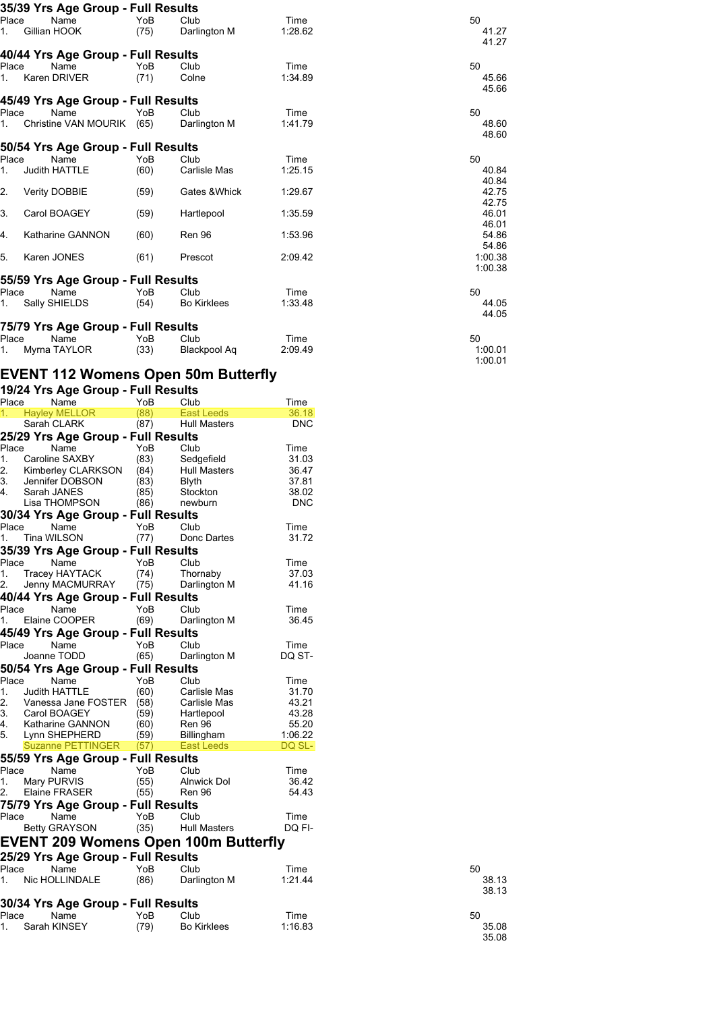| 35/39 Yrs Age Group - Full Results |      |                     |         |                    |
|------------------------------------|------|---------------------|---------|--------------------|
| Place<br>Name                      | YoB  | Club                | Time    | 50                 |
| Gillian HOOK<br>1.                 | (75) | Darlington M        | 1:28.62 | 41.27<br>41.27     |
| 40/44 Yrs Age Group - Full Results |      |                     |         |                    |
| Place<br>Name                      | YoB  | Club                | Time    | 50                 |
| Karen DRIVER<br>1.                 | (71) | Colne               | 1:34.89 | 45.66<br>45.66     |
| 45/49 Yrs Age Group - Full Results |      |                     |         |                    |
| Name<br>Place                      | YoB  | Club                | Time    | 50                 |
| Christine VAN MOURIK (65)<br>1.    |      | Darlington M        | 1:41.79 | 48.60<br>48.60     |
| 50/54 Yrs Age Group - Full Results |      |                     |         |                    |
| Place<br>Name                      | YoB  | Club                | Time    | 50                 |
| Judith HATTLE<br>1.                | (60) | Carlisle Mas        | 1:25.15 | 40.84<br>40.84     |
| 2.<br>Verity DOBBIE                | (59) | Gates & Whick       | 1:29.67 | 42.75<br>42.75     |
| 3.<br>Carol BOAGEY                 | (59) | Hartlepool          | 1:35.59 | 46.01<br>46.01     |
| Katharine GANNON<br>4.             | (60) | Ren 96              | 1:53.96 | 54.86<br>54.86     |
| 5.<br>Karen JONES                  | (61) | Prescot             | 2:09.42 | 1:00.38<br>1:00.38 |
| 55/59 Yrs Age Group - Full Results |      |                     |         |                    |
| Place<br>Name                      | YoB  | Club                | Time    | 50                 |
| Sally SHIELDS<br>1.                | (54) | <b>Bo Kirklees</b>  | 1:33.48 | 44.05<br>44.05     |
| 75/79 Yrs Age Group - Full Results |      |                     |         |                    |
| Name<br>Place                      | YoB  | Club                | Time    | 50                 |
| Myrna TAYLOR<br>1.                 | (33) | <b>Blackpool Aq</b> | 2:09.49 | 1:00.01            |

ں<br>1:00.01<br>1:00.01

### **EVENT 112 Womens Open 50m Butterfly**

#### **19/24 Yrs Age Group - Full Results**

| Place | Name                                        | YoB  | Club                | Time       |
|-------|---------------------------------------------|------|---------------------|------------|
| 1.    | <b>Hayley MELLOR</b>                        | (88) | East Leeds          | 36.18      |
|       | Sarah CLARK                                 | (87) | <b>Hull Masters</b> | <b>DNC</b> |
|       | 25/29 Yrs Age Group - Full Results          |      |                     |            |
| Place | Name                                        | YoB  | Club                | Time       |
| 1.    | Caroline SAXBY                              | (83) | Sedgefield          | 31.03      |
| 2.    | Kimberley CLARKSON                          | (84) | <b>Hull Masters</b> | 36.47      |
| 3.    | Jennifer DOBSON                             | (83) | Blyth               | 37.81      |
| 4.    | Sarah JANES                                 | (85) | Stockton            | 38.02      |
|       | Lisa THOMPSON                               | (86) | newburn             | <b>DNC</b> |
|       |                                             |      |                     |            |
|       | 30/34 Yrs Age Group - Full Results          |      |                     |            |
| Place | Name                                        | YoB  | Club                | Time       |
| 1.    | Tina WILSON                                 | (77) | Donc Dartes         | 31.72      |
|       | 35/39 Yrs Age Group - Full Results          |      |                     |            |
| Place | Name                                        | YoB  | Club                | Time       |
| 1.    | Tracey HAYTACK                              | (74) | Thornaby            | 37.03      |
| 2.    | Jenny MACMURRAY                             | (75) | Darlington M        | 41.16      |
|       | 40/44 Yrs Age Group - Full Results          |      |                     |            |
| Place | Name                                        | YoB  | Club                | Time       |
| 1.    | Elaine COOPER                               | (69) | Darlington M        | 36.45      |
|       | 45/49 Yrs Age Group - Full Results          |      |                     |            |
|       |                                             |      |                     |            |
| Place | Name                                        | YoB  | Club                | Time       |
|       | Joanne TODD                                 | (65) | Darlington M        | DQ ST-     |
|       | 50/54 Yrs Age Group - Full Results          |      |                     |            |
| Place | Name                                        | YoB  | Club                | Time       |
| 1.    | <b>Judith HATTLE</b>                        | (60) | Carlisle Mas        | 31.70      |
| 2.    | Vanessa Jane FOSTER                         | (58) | Carlisle Mas        | 43.21      |
| 3.    | Carol BOAGEY                                | (59) | Hartlepool          | 43.28      |
| 4.    | Katharine GANNON                            | (60) | <b>Ren 96</b>       | 55.20      |
| 5.    | Lynn SHEPHERD                               | (59) | Billingham          | 1:06.22    |
|       | <b>Suzanne PETTINGER</b>                    | (57) | <b>East Leeds</b>   | DQ SL-     |
|       | 55/59 Yrs Age Group - Full Results          |      |                     |            |
| Place | Name                                        | YoB  | Club                | Time       |
| 1.    | Mary PURVIS                                 | (55) | Alnwick Dol         | 36.42      |
| 2.    | Elaine FRASER                               | (55) | Ren 96              | 54.43      |
|       | 75/79 Yrs Age Group - Full Results          |      |                     |            |
|       |                                             |      |                     |            |
| Place | Name                                        | YoB  | Club                | Time       |
|       | <b>Betty GRAYSON</b>                        | (35) | <b>Hull Masters</b> | DQ FI-     |
|       | <b>EVENT 209 Womens Open 100m Butterfly</b> |      |                     |            |
|       | 25/29 Yrs Age Group - Full Results          |      |                     |            |
| Place | Name                                        | YoB  | Club                | Time       |
| 1.    | Nic HOLLINDALE                              | (86) | Darlington M        | 1:21.44    |
|       |                                             |      |                     |            |
|       |                                             |      |                     |            |
|       | 30/34 Yrs Age Group - Full Results          |      |                     |            |
| Place | Name                                        | YoB  | Club                | Time       |
| 1.    | Sarah KINSEY                                | (79) | <b>Bo Kirklees</b>  | 1:16.83    |

| 50 | 38 13<br>38 13 |
|----|----------------|
| 50 | 35.08<br>35.08 |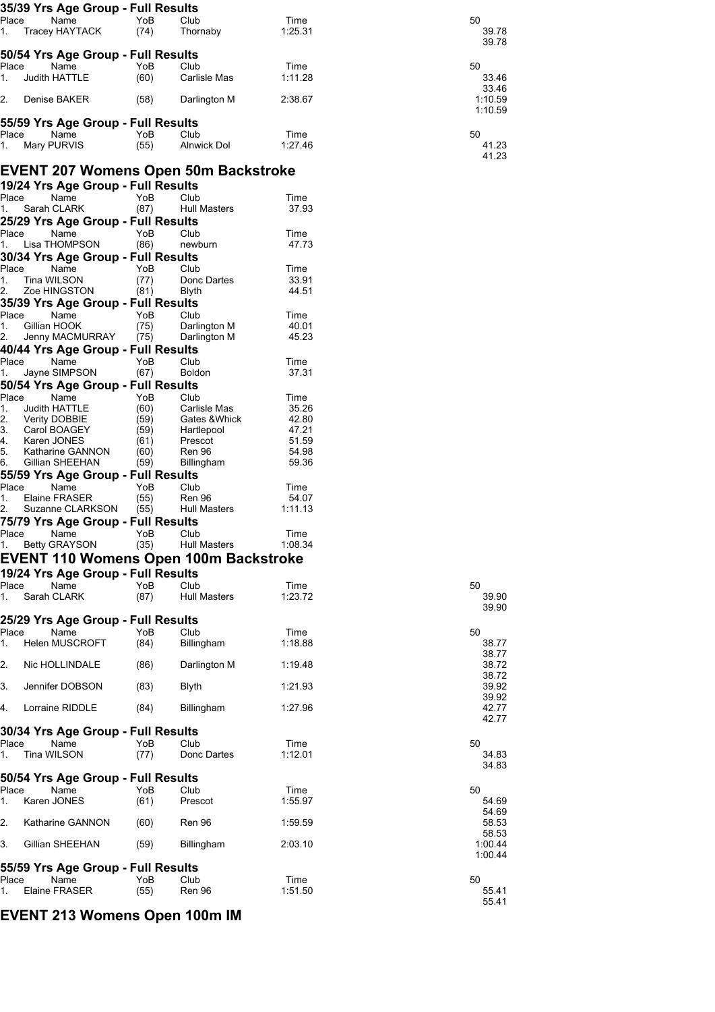| 35/39 Yrs Age Group - Full Results   |      |                     |         |         |
|--------------------------------------|------|---------------------|---------|---------|
| Place<br>Name                        | YoB  | Club                | Time    | 50      |
| Tracey HAYTACK<br>1.                 | (74) | Thornaby            | 1:25.31 | 39.78   |
|                                      |      |                     |         | 39.78   |
| 50/54 Yrs Age Group - Full Results   |      |                     |         |         |
| Place<br>Name                        | YoB  | Club                | Time    | 50      |
| Judith HATTLE<br>1.                  | (60) | Carlisle Mas        | 1:11.28 | 33.46   |
|                                      |      |                     |         | 33.46   |
| 2.<br>Denise BAKER                   | (58) | Darlington M        | 2:38.67 | 1:10.59 |
|                                      |      |                     |         | 1:10.59 |
| 55/59 Yrs Age Group - Full Results   |      |                     |         |         |
| Place<br>Name                        | YoB  | Club                | Time    | 50      |
| Mary PURVIS<br>1.                    | (55) | <b>Alnwick Dol</b>  | 1:27.46 | 41.23   |
|                                      |      |                     |         | 41.23   |
| EVENT 207 Womens Open 50m Backstroke |      |                     |         |         |
| 19/24 Yrs Age Group - Full Results   |      |                     |         |         |
| Name<br>Place                        | YoB  | Club                | Time    |         |
| Sarah CLARK<br>1.                    | (87) | <b>Hull Masters</b> | 37.93   |         |
| 25/29 Yrs Age Group - Full Results   |      |                     |         |         |
| Place<br>Name                        | YoB  | Club                | Time    |         |
| Lisa THOMPSON<br>1.                  | (86) | newburn             | 47.73   |         |
| 30/34 Yrs Age Group - Full Results   |      |                     |         |         |
| Place<br>Name                        | YoB  | Club                | Time    |         |
| Tina WILSON<br>1.                    | (77) | Donc Dartes         | 33.91   |         |
| 2.<br>Zoe HINGSTON                   | (81) | Blyth               | 44.51   |         |
| 35/39 Yrs Age Group - Full Results   |      |                     |         |         |
| Place<br>Name                        | YoB  | Club                | Time    |         |
| Gillian HOOK<br>1.                   | (75) | Darlington M        | 40.01   |         |
| 2.<br>Jenny MACMURRAY                | (75) | Darlington M        | 45.23   |         |
| 40/44 Yrs Age Group - Full Results   |      |                     |         |         |
| Place<br>Name                        | YoB  | Club                | Time    |         |
| Jayne SIMPSON<br>1.                  | (67) | <b>Boldon</b>       | 37.31   |         |
| 50/54 Yrs Age Group - Full Results   |      |                     |         |         |
| Place<br>Name                        | YoB  | Club                | Time    |         |
| 1.<br>Judith HATTLE                  | (60) | Carlisle Mas        | 35.26   |         |
| 2.<br>Verity DOBBIE                  | (59) | Gates & Whick       | 42.80   |         |
| 3.<br>Carol BOAGEY                   | (59) | Hartlepool          | 47.21   |         |
| 4.<br>Karen JONES                    | (61) | Prescot             | 51.59   |         |
| 5.<br>Katharine GANNON               | (60) | <b>Ren 96</b>       | 54.98   |         |

5. Katharine GANNON (60) Ren 96 54.98<br>6. Gillian SHEEHAN (59) Billingham 59.36

Place Name YoB Club Time 1. Betty GRAYSON (35) Hull Masters 1:08.34 **EVENT 110 Womens Open 100m Backstroke** 

Name YoB Club Time<br>ine FRASER (55) Ren 96 54.07 1. Elaine FRASER (55) Ren 96 54.07

Gillian SHEEHAN

Suzanne CLARKSON

**55/59 Yrs Age Group - Full Results**

**75/79 Yrs Age Group - Full Results**

**19/24 Yrs Age Group - Full Results**

| Place<br>Name<br>1 <sup>1</sup><br>Sarah CLARK | YoB<br>(87) | Club<br><b>Hull Masters</b> | Time<br>1:23.72 | 50                 |
|------------------------------------------------|-------------|-----------------------------|-----------------|--------------------|
|                                                |             |                             |                 | 39.90<br>39.90     |
| 25/29 Yrs Age Group - Full Results             |             |                             |                 |                    |
| Name<br>Place                                  | YoB         | Club                        | Time            | 50                 |
| $1_{-}$<br><b>Helen MUSCROFT</b>               | (84)        | Billingham                  | 1:18.88         | 38.77              |
| 2.<br>Nic HOLLINDALE                           | (86)        | Darlington M                | 1:19.48         | 38.77<br>38.72     |
|                                                |             |                             |                 | 38.72              |
| 3.<br>Jennifer DOBSON                          | (83)        | <b>Blyth</b>                | 1:21.93         | 39.92              |
|                                                |             |                             |                 | 39.92              |
| Lorraine RIDDLE<br>4.                          | (84)        | Billingham                  | 1:27.96         | 42.77              |
|                                                |             |                             |                 | 42.77              |
| 30/34 Yrs Age Group - Full Results             |             |                             |                 |                    |
| Place<br>Name                                  | YoB.        | Club                        | Time<br>1:12.01 | 50                 |
| Tina WILSON<br>1.                              | (77)        | Donc Dartes                 |                 | 34.83<br>34.83     |
| 50/54 Yrs Age Group - Full Results             |             |                             |                 |                    |
| Place<br>Name                                  | YoB         | Club                        | Time            | 50                 |
| Karen JONES<br>1.                              | (61)        | Prescot                     | 1:55.97         | 54.69              |
|                                                |             |                             |                 | 54.69              |
| 2.<br><b>Katharine GANNON</b>                  | (60)        | <b>Ren 96</b>               | 1:59.59         | 58.53              |
|                                                |             |                             |                 | 58.53              |
| 3.<br>Gillian SHEEHAN                          | (59)        | Billingham                  | 2:03.10         | 1:00.44<br>1:00.44 |
| 55/59 Yrs Age Group - Full Results             |             |                             |                 |                    |
| Name<br>Place                                  | YoB         | Club                        | Time            | 50                 |
| Elaine FRASER<br>1.                            | (55)        | Ren 96                      | 1:51.50         | 55.41              |
|                                                |             |                             |                 | 55.41              |
| EVENT 213 Womens Open 100m IM                  |             |                             |                 |                    |
|                                                |             |                             |                 |                    |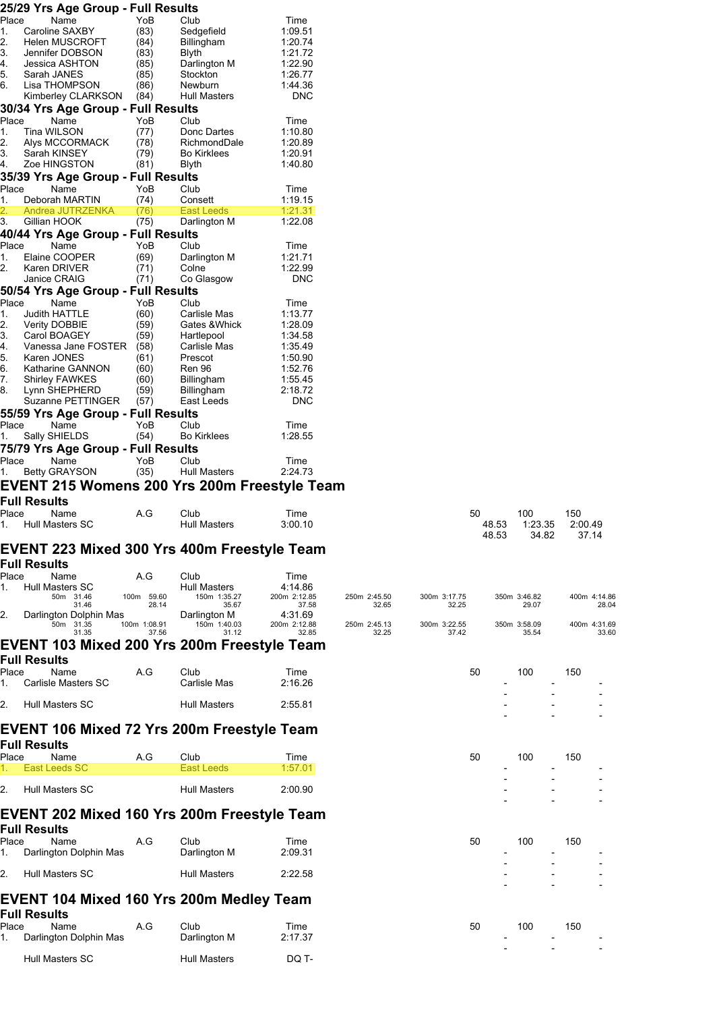|             | 25/29 Yrs Age Group - Full Results         |              |                                              |                         |              |                       |             |                |                |
|-------------|--------------------------------------------|--------------|----------------------------------------------|-------------------------|--------------|-----------------------|-------------|----------------|----------------|
| Place       | Name                                       | YoB          | Club                                         | Time                    |              |                       |             |                |                |
| 1.<br>2.    | Caroline SAXBY<br><b>Helen MUSCROFT</b>    | (83)<br>(84) | Sedgefield<br>Billingham                     | 1:09.51<br>1:20.74      |              |                       |             |                |                |
| 3.          | Jennifer DOBSON                            | (83)         | <b>Blyth</b>                                 | 1:21.72                 |              |                       |             |                |                |
| 4.          | Jessica ASHTON                             | (85)         | Darlington M                                 | 1:22.90                 |              |                       |             |                |                |
| 5.<br>6.    | Sarah JANES<br>Lisa THOMPSON               | (85)<br>(86) | Stockton<br>Newburn                          | 1:26.77<br>1:44.36      |              |                       |             |                |                |
|             | Kimberley CLARKSON                         | (84)         | <b>Hull Masters</b>                          | <b>DNC</b>              |              |                       |             |                |                |
|             | 30/34 Yrs Age Group - Full Results         |              |                                              |                         |              |                       |             |                |                |
| Place       | Name                                       | YoB          | Club                                         | Time                    |              |                       |             |                |                |
| 1.          | Tina WILSON                                | (77)         | Donc Dartes                                  | 1:10.80                 |              |                       |             |                |                |
| 2.<br>3.    | Alys MCCORMACK<br>Sarah KINSEY             | (78)<br>(79) | RichmondDale<br><b>Bo Kirklees</b>           | 1:20.89<br>1:20.91      |              |                       |             |                |                |
| 4.          | Zoe HINGSTON                               | (81)         | Blyth                                        | 1:40.80                 |              |                       |             |                |                |
|             | 35/39 Yrs Age Group - Full Results         |              |                                              |                         |              |                       |             |                |                |
| Place       | Name                                       | YoB          | Club                                         | Time                    |              |                       |             |                |                |
| 1.          | Deborah MARTIN<br>Andrea JUTRZENKA         | (74)<br>(76) | Consett<br>East Leeds                        | 1:19.15<br>1:21.31      |              |                       |             |                |                |
| 3.          | Gillian HOOK                               | (75)         | Darlington M                                 | 1:22.08                 |              |                       |             |                |                |
|             | 40/44 Yrs Age Group - Full Results         |              |                                              |                         |              |                       |             |                |                |
| Place       | Name                                       | YoB          | Club                                         | Time                    |              |                       |             |                |                |
| 1.<br>2.    | Elaine COOPER<br>Karen DRIVER              | (69)<br>(71) | Darlington M<br>Colne                        | 1:21.71<br>1:22.99      |              |                       |             |                |                |
|             | Janice CRAIG                               | (71)         | Co Glasgow                                   | <b>DNC</b>              |              |                       |             |                |                |
|             | 50/54 Yrs Age Group - Full Results         |              |                                              |                         |              |                       |             |                |                |
| Place       | Name                                       | YoB          | Club                                         | Time                    |              |                       |             |                |                |
| 1.<br>2.    | Judith HATTLE<br>Verity DOBBIE             | (60)<br>(59) | Carlisle Mas<br>Gates &Whick                 | 1:13.77<br>1:28.09      |              |                       |             |                |                |
| 3.          | Carol BOAGEY                               | (59)         | Hartlepool                                   | 1:34.58                 |              |                       |             |                |                |
| 4.          | Vanessa Jane FOSTER                        | (58)         | Carlisle Mas                                 | 1:35.49                 |              |                       |             |                |                |
| 5.<br>6.    | Karen JONES                                | (61)<br>(60) | Prescot<br><b>Ren 96</b>                     | 1:50.90<br>1:52.76      |              |                       |             |                |                |
| 7.          | Katharine GANNON<br><b>Shirley FAWKES</b>  | (60)         | Billingham                                   | 1:55.45                 |              |                       |             |                |                |
| 8.          | Lynn SHEPHERD                              | (59)         | Billingham                                   | 2:18.72                 |              |                       |             |                |                |
|             | Suzanne PETTINGER                          | (57)         | East Leeds                                   | <b>DNC</b>              |              |                       |             |                |                |
| Place       | 55/59 Yrs Age Group - Full Results<br>Name | YoB          | Club                                         | Time                    |              |                       |             |                |                |
| 1.          | Sally SHIELDS                              | (54)         | <b>Bo Kirklees</b>                           | 1:28.55                 |              |                       |             |                |                |
|             | 75/79 Yrs Age Group - Full Results         |              |                                              |                         |              |                       |             |                |                |
| Place       | Name                                       | YoB          | Club                                         | Time                    |              |                       |             |                |                |
|             |                                            |              |                                              |                         |              |                       |             |                |                |
| 1.          | <b>Betty GRAYSON</b>                       | (35)         | <b>Hull Masters</b>                          | 2:24.73                 |              |                       |             |                |                |
|             |                                            |              | EVENT 215 Womens 200 Yrs 200m Freestyle Team |                         |              |                       |             |                |                |
|             | <b>Full Results</b>                        |              |                                              |                         |              |                       |             |                |                |
| Place<br>1. | Name<br>Hull Masters SC                    | A.G          | Club<br><b>Hull Masters</b>                  | Time<br>3:00.10         |              |                       | 50<br>48.53 | 100<br>1:23.35 | 150<br>2:00.49 |
|             |                                            |              |                                              |                         |              |                       | 48.53       | 34.82          | 37.14          |
|             |                                            |              | EVENT 223 Mixed 300 Yrs 400m Freestyle Team  |                         |              |                       |             |                |                |
|             | Full Results                               |              |                                              |                         |              |                       |             |                |                |
| Place       | Name                                       | A.G          | Club                                         | Time                    |              |                       |             |                |                |
| 1.          | Hull Masters SC<br>50m 31.46               | 100m 59.60   | <b>Hull Masters</b><br>150m 1:35.27          | 4:14.86<br>200m 2:12.85 | 250m 2:45.50 |                       |             | 350m 3:46.82   | 400m 4:14.86   |
|             | 31.46                                      |              | 28.14<br>35.67                               | 37.58                   | 32.65        | 300m 3:17.75<br>32.25 |             | 29.07          | 28.04          |
| 2.          | Darlington Dolphin Mas<br>50m 31.35        | 100m 1:08.91 | Darlington M<br>150m 1:40.03                 | 4:31.69<br>200m 2:12.88 | 250m 2:45.13 | 300m 3:22.55          |             | 350m 3:58.09   | 400m 4:31.69   |
|             | 31.35                                      |              | 37.56<br>31.12                               | 32.85                   | 32.25        | 37.42                 |             | 35.54          | 33.60          |
|             |                                            |              | EVENT 103 Mixed 200 Yrs 200m Freestyle Team  |                         |              |                       |             |                |                |
|             | <b>Full Results</b>                        |              |                                              |                         |              |                       |             |                |                |
| Place<br>1. | Name<br><b>Carlisle Masters SC</b>         | A.G          | Club<br>Carlisle Mas                         | Time<br>2:16.26         |              |                       | 50          | 100            | 150            |
|             |                                            |              |                                              |                         |              |                       |             |                |                |
| 2.          | Hull Masters SC                            |              | <b>Hull Masters</b>                          | 2:55.81                 |              |                       |             |                |                |
|             |                                            |              |                                              |                         |              |                       |             |                |                |
|             |                                            |              | EVENT 106 Mixed 72 Yrs 200m Freestyle Team   |                         |              |                       |             |                |                |
|             | <b>Full Results</b>                        |              |                                              |                         |              |                       |             |                |                |
| Place<br>1. | Name<br>East Leeds SC                      | A.G          | Club<br><b>East Leeds</b>                    | Time<br>1:57.01         |              |                       | 50          | 100            | 150            |
|             |                                            |              |                                              |                         |              |                       |             |                |                |
| 2.          | Hull Masters SC                            |              | <b>Hull Masters</b>                          | 2:00.90                 |              |                       |             |                |                |
|             |                                            |              |                                              |                         |              |                       |             |                |                |
|             |                                            |              | EVENT 202 Mixed 160 Yrs 200m Freestyle Team  |                         |              |                       |             |                |                |
| Place       | <b>Full Results</b><br>Name                | A.G          | Club                                         | Time                    |              |                       | 50          | 100            | 150            |
| 1.          | Darlington Dolphin Mas                     |              | Darlington M                                 | 2:09.31                 |              |                       |             |                |                |
|             |                                            |              |                                              |                         |              |                       |             |                |                |
| 2.          | Hull Masters SC                            |              | <b>Hull Masters</b>                          | 2:22.58                 |              |                       |             |                |                |
|             |                                            |              | EVENT 104 Mixed 160 Yrs 200m Medley Team     |                         |              |                       |             |                |                |
|             | <b>Full Results</b>                        |              |                                              |                         |              |                       |             |                |                |
|             | Name                                       | A.G          | Club                                         | Time                    |              |                       | 50          | 100            | 150            |
| Place<br>1. | Darlington Dolphin Mas                     |              | Darlington M                                 | 2:17.37                 |              |                       |             |                |                |